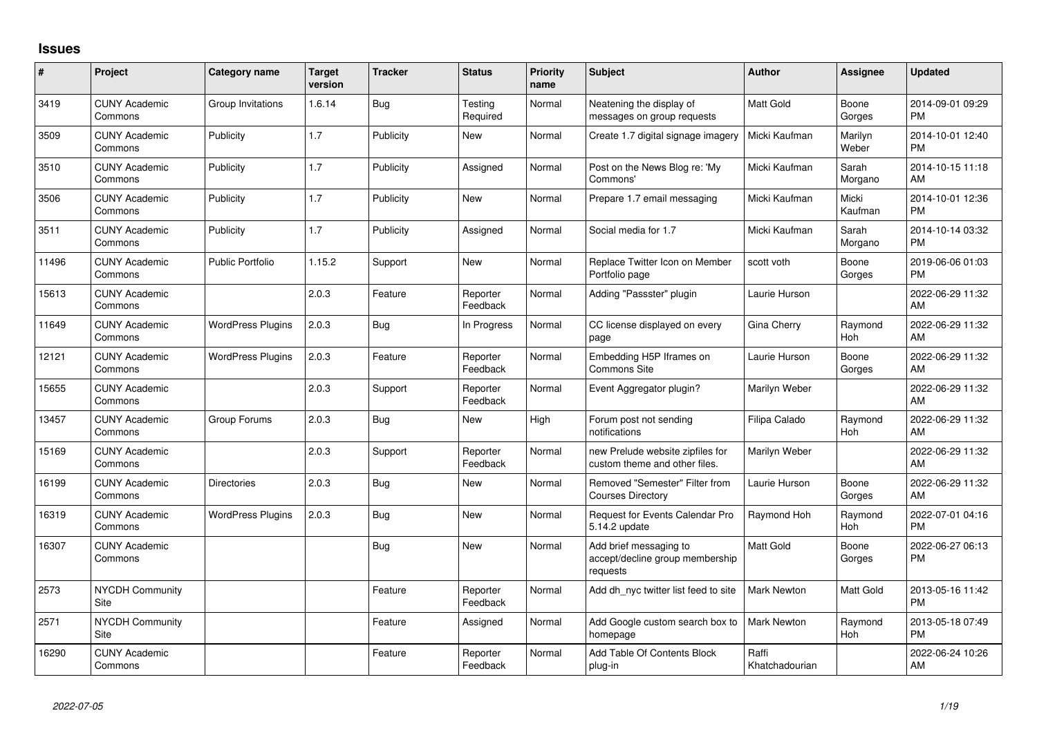## **Issues**

| $\pmb{\sharp}$ | Project                         | <b>Category name</b>     | <b>Target</b><br>version | <b>Tracker</b> | <b>Status</b>        | <b>Priority</b><br>name | <b>Subject</b>                                                        | <b>Author</b>           | Assignee         | <b>Updated</b>                |
|----------------|---------------------------------|--------------------------|--------------------------|----------------|----------------------|-------------------------|-----------------------------------------------------------------------|-------------------------|------------------|-------------------------------|
| 3419           | <b>CUNY Academic</b><br>Commons | Group Invitations        | 1.6.14                   | Bug            | Testing<br>Required  | Normal                  | Neatening the display of<br>messages on group requests                | Matt Gold               | Boone<br>Gorges  | 2014-09-01 09:29<br><b>PM</b> |
| 3509           | <b>CUNY Academic</b><br>Commons | Publicity                | 1.7                      | Publicity      | New                  | Normal                  | Create 1.7 digital signage imagery                                    | Micki Kaufman           | Marilyn<br>Weber | 2014-10-01 12:40<br><b>PM</b> |
| 3510           | <b>CUNY Academic</b><br>Commons | Publicity                | 1.7                      | Publicity      | Assigned             | Normal                  | Post on the News Blog re: 'My<br>Commons'                             | Micki Kaufman           | Sarah<br>Morgano | 2014-10-15 11:18<br>AM        |
| 3506           | <b>CUNY Academic</b><br>Commons | Publicity                | 1.7                      | Publicity      | <b>New</b>           | Normal                  | Prepare 1.7 email messaging                                           | Micki Kaufman           | Micki<br>Kaufman | 2014-10-01 12:36<br><b>PM</b> |
| 3511           | <b>CUNY Academic</b><br>Commons | Publicity                | 1.7                      | Publicity      | Assigned             | Normal                  | Social media for 1.7                                                  | Micki Kaufman           | Sarah<br>Morgano | 2014-10-14 03:32<br><b>PM</b> |
| 11496          | <b>CUNY Academic</b><br>Commons | <b>Public Portfolio</b>  | 1.15.2                   | Support        | New                  | Normal                  | Replace Twitter Icon on Member<br>Portfolio page                      | scott voth              | Boone<br>Gorges  | 2019-06-06 01:03<br><b>PM</b> |
| 15613          | <b>CUNY Academic</b><br>Commons |                          | 2.0.3                    | Feature        | Reporter<br>Feedback | Normal                  | Adding "Passster" plugin                                              | Laurie Hurson           |                  | 2022-06-29 11:32<br>AM        |
| 11649          | <b>CUNY Academic</b><br>Commons | <b>WordPress Plugins</b> | 2.0.3                    | Bug            | In Progress          | Normal                  | CC license displayed on every<br>page                                 | Gina Cherry             | Raymond<br>Hoh   | 2022-06-29 11:32<br>AM        |
| 12121          | <b>CUNY Academic</b><br>Commons | <b>WordPress Plugins</b> | 2.0.3                    | Feature        | Reporter<br>Feedback | Normal                  | Embedding H5P Iframes on<br>Commons Site                              | Laurie Hurson           | Boone<br>Gorges  | 2022-06-29 11:32<br>AM        |
| 15655          | <b>CUNY Academic</b><br>Commons |                          | 2.0.3                    | Support        | Reporter<br>Feedback | Normal                  | Event Aggregator plugin?                                              | Marilyn Weber           |                  | 2022-06-29 11:32<br>AM        |
| 13457          | <b>CUNY Academic</b><br>Commons | Group Forums             | 2.0.3                    | Bug            | New                  | High                    | Forum post not sending<br>notifications                               | Filipa Calado           | Raymond<br>Hoh   | 2022-06-29 11:32<br>AM        |
| 15169          | <b>CUNY Academic</b><br>Commons |                          | 2.0.3                    | Support        | Reporter<br>Feedback | Normal                  | new Prelude website zipfiles for<br>custom theme and other files.     | Marilyn Weber           |                  | 2022-06-29 11:32<br>AM        |
| 16199          | <b>CUNY Academic</b><br>Commons | <b>Directories</b>       | 2.0.3                    | Bug            | New                  | Normal                  | Removed "Semester" Filter from<br><b>Courses Directory</b>            | Laurie Hurson           | Boone<br>Gorges  | 2022-06-29 11:32<br>AM        |
| 16319          | <b>CUNY Academic</b><br>Commons | <b>WordPress Plugins</b> | 2.0.3                    | Bug            | New                  | Normal                  | Request for Events Calendar Pro<br>5.14.2 update                      | Raymond Hoh             | Raymond<br>Hoh   | 2022-07-01 04:16<br><b>PM</b> |
| 16307          | <b>CUNY Academic</b><br>Commons |                          |                          | <b>Bug</b>     | New                  | Normal                  | Add brief messaging to<br>accept/decline group membership<br>requests | <b>Matt Gold</b>        | Boone<br>Gorges  | 2022-06-27 06:13<br><b>PM</b> |
| 2573           | <b>NYCDH Community</b><br>Site  |                          |                          | Feature        | Reporter<br>Feedback | Normal                  | Add dh nyc twitter list feed to site                                  | <b>Mark Newton</b>      | Matt Gold        | 2013-05-16 11:42<br><b>PM</b> |
| 2571           | <b>NYCDH Community</b><br>Site  |                          |                          | Feature        | Assigned             | Normal                  | Add Google custom search box to<br>homepage                           | <b>Mark Newton</b>      | Raymond<br>Hoh   | 2013-05-18 07:49<br><b>PM</b> |
| 16290          | <b>CUNY Academic</b><br>Commons |                          |                          | Feature        | Reporter<br>Feedback | Normal                  | Add Table Of Contents Block<br>plug-in                                | Raffi<br>Khatchadourian |                  | 2022-06-24 10:26<br>AM        |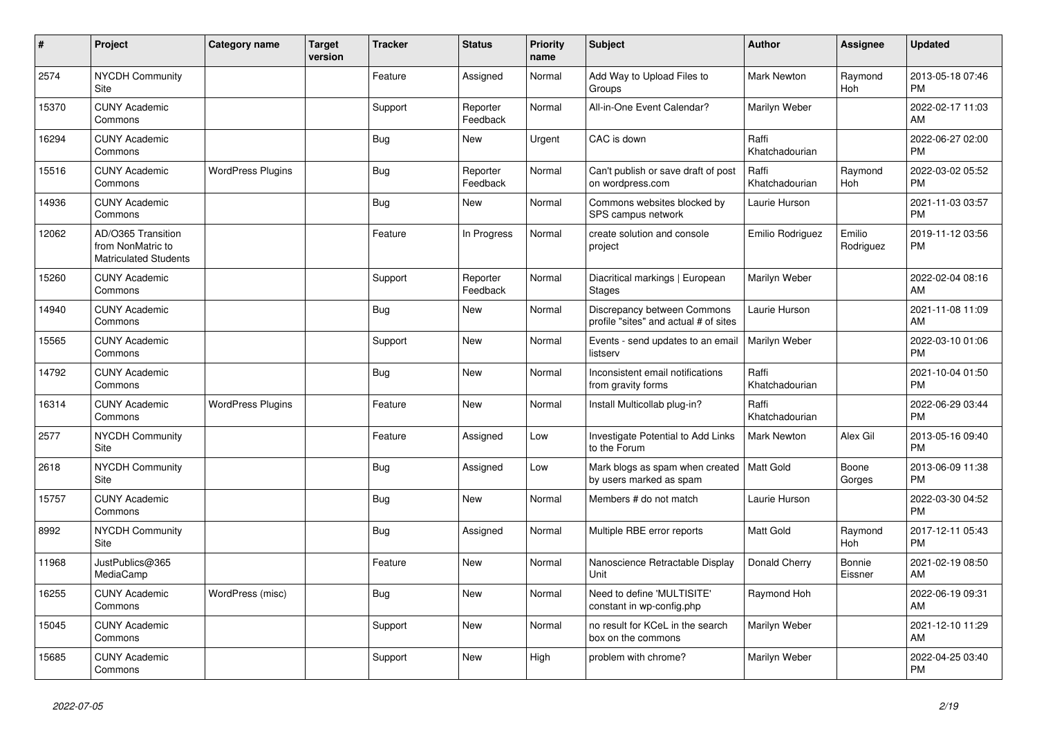| #     | Project                                                                 | Category name            | <b>Target</b><br>version | <b>Tracker</b> | <b>Status</b>        | <b>Priority</b><br>name | <b>Subject</b>                                                       | <b>Author</b>           | <b>Assignee</b>     | <b>Updated</b>                |
|-------|-------------------------------------------------------------------------|--------------------------|--------------------------|----------------|----------------------|-------------------------|----------------------------------------------------------------------|-------------------------|---------------------|-------------------------------|
| 2574  | <b>NYCDH Community</b><br>Site                                          |                          |                          | Feature        | Assigned             | Normal                  | Add Way to Upload Files to<br>Groups                                 | <b>Mark Newton</b>      | Raymond<br>Hoh      | 2013-05-18 07:46<br><b>PM</b> |
| 15370 | <b>CUNY Academic</b><br>Commons                                         |                          |                          | Support        | Reporter<br>Feedback | Normal                  | All-in-One Event Calendar?                                           | Marilyn Weber           |                     | 2022-02-17 11:03<br>AM        |
| 16294 | <b>CUNY Academic</b><br>Commons                                         |                          |                          | Bug            | <b>New</b>           | Urgent                  | CAC is down                                                          | Raffi<br>Khatchadourian |                     | 2022-06-27 02:00<br><b>PM</b> |
| 15516 | <b>CUNY Academic</b><br>Commons                                         | <b>WordPress Plugins</b> |                          | Bug            | Reporter<br>Feedback | Normal                  | Can't publish or save draft of post<br>on wordpress.com              | Raffi<br>Khatchadourian | Raymond<br>Hoh      | 2022-03-02 05:52<br><b>PM</b> |
| 14936 | <b>CUNY Academic</b><br>Commons                                         |                          |                          | Bug            | <b>New</b>           | Normal                  | Commons websites blocked by<br>SPS campus network                    | Laurie Hurson           |                     | 2021-11-03 03:57<br><b>PM</b> |
| 12062 | AD/O365 Transition<br>from NonMatric to<br><b>Matriculated Students</b> |                          |                          | Feature        | In Progress          | Normal                  | create solution and console<br>project                               | Emilio Rodriguez        | Emilio<br>Rodriguez | 2019-11-12 03:56<br><b>PM</b> |
| 15260 | <b>CUNY Academic</b><br>Commons                                         |                          |                          | Support        | Reporter<br>Feedback | Normal                  | Diacritical markings   European<br><b>Stages</b>                     | Marilyn Weber           |                     | 2022-02-04 08:16<br>AM        |
| 14940 | <b>CUNY Academic</b><br>Commons                                         |                          |                          | Bug            | <b>New</b>           | Normal                  | Discrepancy between Commons<br>profile "sites" and actual # of sites | Laurie Hurson           |                     | 2021-11-08 11:09<br>AM        |
| 15565 | <b>CUNY Academic</b><br>Commons                                         |                          |                          | Support        | <b>New</b>           | Normal                  | Events - send updates to an email<br>listserv                        | Marilyn Weber           |                     | 2022-03-10 01:06<br><b>PM</b> |
| 14792 | <b>CUNY Academic</b><br>Commons                                         |                          |                          | <b>Bug</b>     | <b>New</b>           | Normal                  | Inconsistent email notifications<br>from gravity forms               | Raffi<br>Khatchadourian |                     | 2021-10-04 01:50<br><b>PM</b> |
| 16314 | <b>CUNY Academic</b><br>Commons                                         | <b>WordPress Plugins</b> |                          | Feature        | <b>New</b>           | Normal                  | Install Multicollab plug-in?                                         | Raffi<br>Khatchadourian |                     | 2022-06-29 03:44<br><b>PM</b> |
| 2577  | <b>NYCDH Community</b><br>Site                                          |                          |                          | Feature        | Assigned             | Low                     | Investigate Potential to Add Links<br>to the Forum                   | <b>Mark Newton</b>      | Alex Gil            | 2013-05-16 09:40<br><b>PM</b> |
| 2618  | NYCDH Community<br>Site                                                 |                          |                          | Bug            | Assigned             | Low                     | Mark blogs as spam when created<br>by users marked as spam           | Matt Gold               | Boone<br>Gorges     | 2013-06-09 11:38<br><b>PM</b> |
| 15757 | <b>CUNY Academic</b><br>Commons                                         |                          |                          | Bug            | <b>New</b>           | Normal                  | Members # do not match                                               | Laurie Hurson           |                     | 2022-03-30 04:52<br><b>PM</b> |
| 8992  | <b>NYCDH Community</b><br>Site                                          |                          |                          | Bug            | Assigned             | Normal                  | Multiple RBE error reports                                           | <b>Matt Gold</b>        | Raymond<br>Hoh      | 2017-12-11 05:43<br><b>PM</b> |
| 11968 | JustPublics@365<br>MediaCamp                                            |                          |                          | Feature        | New                  | Normal                  | Nanoscience Retractable Display<br>Unit                              | Donald Cherry           | Bonnie<br>Eissner   | 2021-02-19 08:50<br>AM        |
| 16255 | <b>CUNY Academic</b><br>Commons                                         | WordPress (misc)         |                          | Bug            | <b>New</b>           | Normal                  | Need to define 'MULTISITE'<br>constant in wp-config.php              | Raymond Hoh             |                     | 2022-06-19 09:31<br>AM        |
| 15045 | <b>CUNY Academic</b><br>Commons                                         |                          |                          | Support        | <b>New</b>           | Normal                  | no result for KCeL in the search<br>box on the commons               | Marilyn Weber           |                     | 2021-12-10 11:29<br>AM        |
| 15685 | <b>CUNY Academic</b><br>Commons                                         |                          |                          | Support        | <b>New</b>           | High                    | problem with chrome?                                                 | Marilyn Weber           |                     | 2022-04-25 03:40<br><b>PM</b> |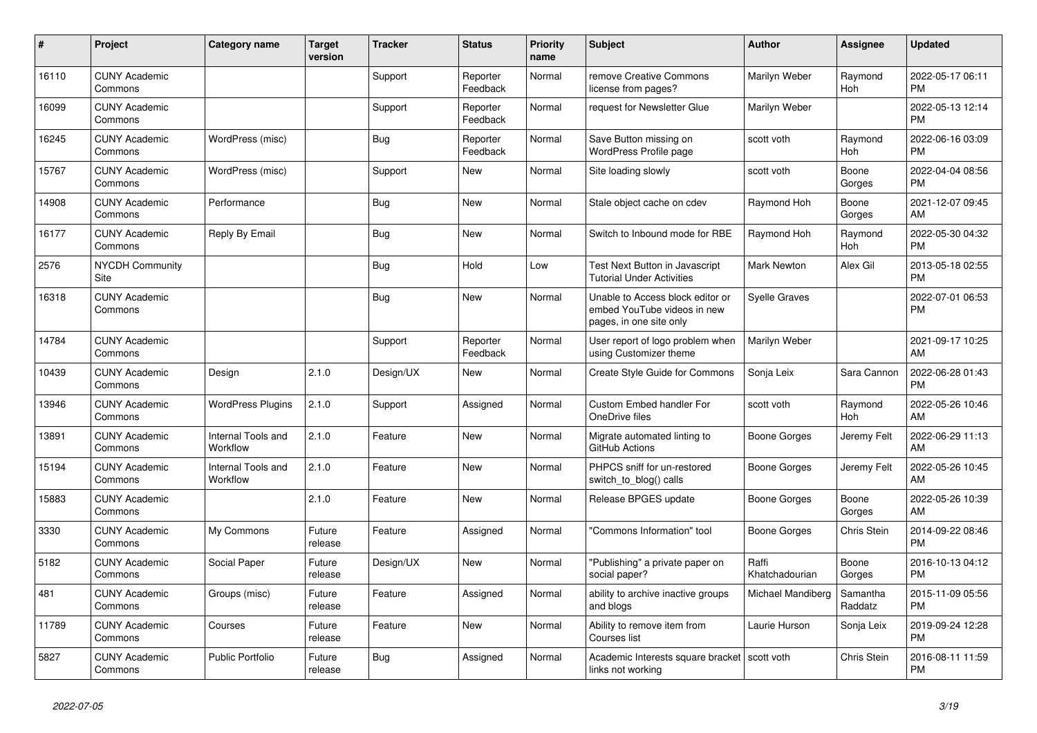| #     | Project                         | <b>Category name</b>           | <b>Target</b><br>version | <b>Tracker</b> | <b>Status</b>        | <b>Priority</b><br>name | <b>Subject</b>                                                                             | <b>Author</b>           | <b>Assignee</b>     | <b>Updated</b>                |
|-------|---------------------------------|--------------------------------|--------------------------|----------------|----------------------|-------------------------|--------------------------------------------------------------------------------------------|-------------------------|---------------------|-------------------------------|
| 16110 | <b>CUNY Academic</b><br>Commons |                                |                          | Support        | Reporter<br>Feedback | Normal                  | remove Creative Commons<br>license from pages?                                             | Marilyn Weber           | Raymond<br>Hoh      | 2022-05-17 06:11<br><b>PM</b> |
| 16099 | <b>CUNY Academic</b><br>Commons |                                |                          | Support        | Reporter<br>Feedback | Normal                  | request for Newsletter Glue                                                                | Marilyn Weber           |                     | 2022-05-13 12:14<br><b>PM</b> |
| 16245 | <b>CUNY Academic</b><br>Commons | WordPress (misc)               |                          | <b>Bug</b>     | Reporter<br>Feedback | Normal                  | Save Button missing on<br><b>WordPress Profile page</b>                                    | scott voth              | Raymond<br>Hoh      | 2022-06-16 03:09<br><b>PM</b> |
| 15767 | <b>CUNY Academic</b><br>Commons | WordPress (misc)               |                          | Support        | <b>New</b>           | Normal                  | Site loading slowly                                                                        | scott voth              | Boone<br>Gorges     | 2022-04-04 08:56<br><b>PM</b> |
| 14908 | <b>CUNY Academic</b><br>Commons | Performance                    |                          | Bug            | <b>New</b>           | Normal                  | Stale object cache on cdev                                                                 | Raymond Hoh             | Boone<br>Gorges     | 2021-12-07 09:45<br>AM        |
| 16177 | <b>CUNY Academic</b><br>Commons | Reply By Email                 |                          | Bug            | New                  | Normal                  | Switch to Inbound mode for RBE                                                             | Raymond Hoh             | Raymond<br>Hoh      | 2022-05-30 04:32<br><b>PM</b> |
| 2576  | <b>NYCDH Community</b><br>Site  |                                |                          | Bug            | Hold                 | Low                     | <b>Test Next Button in Javascript</b><br><b>Tutorial Under Activities</b>                  | <b>Mark Newton</b>      | Alex Gil            | 2013-05-18 02:55<br><b>PM</b> |
| 16318 | <b>CUNY Academic</b><br>Commons |                                |                          | Bug            | New                  | Normal                  | Unable to Access block editor or<br>embed YouTube videos in new<br>pages, in one site only | <b>Syelle Graves</b>    |                     | 2022-07-01 06:53<br><b>PM</b> |
| 14784 | <b>CUNY Academic</b><br>Commons |                                |                          | Support        | Reporter<br>Feedback | Normal                  | User report of logo problem when<br>using Customizer theme                                 | Marilyn Weber           |                     | 2021-09-17 10:25<br>AM        |
| 10439 | <b>CUNY Academic</b><br>Commons | Design                         | 2.1.0                    | Design/UX      | New                  | Normal                  | Create Style Guide for Commons                                                             | Sonja Leix              | Sara Cannon         | 2022-06-28 01:43<br><b>PM</b> |
| 13946 | <b>CUNY Academic</b><br>Commons | <b>WordPress Plugins</b>       | 2.1.0                    | Support        | Assigned             | Normal                  | Custom Embed handler For<br>OneDrive files                                                 | scott voth              | Raymond<br>Hoh      | 2022-05-26 10:46<br>AM        |
| 13891 | <b>CUNY Academic</b><br>Commons | Internal Tools and<br>Workflow | 2.1.0                    | Feature        | New                  | Normal                  | Migrate automated linting to<br>GitHub Actions                                             | Boone Gorges            | Jeremy Felt         | 2022-06-29 11:13<br>AM        |
| 15194 | <b>CUNY Academic</b><br>Commons | Internal Tools and<br>Workflow | 2.1.0                    | Feature        | <b>New</b>           | Normal                  | PHPCS sniff for un-restored<br>switch_to_blog() calls                                      | Boone Gorges            | Jeremy Felt         | 2022-05-26 10:45<br>AM        |
| 15883 | <b>CUNY Academic</b><br>Commons |                                | 2.1.0                    | Feature        | <b>New</b>           | Normal                  | Release BPGES update                                                                       | Boone Gorges            | Boone<br>Gorges     | 2022-05-26 10:39<br>AM        |
| 3330  | <b>CUNY Academic</b><br>Commons | My Commons                     | Future<br>release        | Feature        | Assigned             | Normal                  | 'Commons Information" tool                                                                 | Boone Gorges            | Chris Stein         | 2014-09-22 08:46<br><b>PM</b> |
| 5182  | <b>CUNY Academic</b><br>Commons | Social Paper                   | Future<br>release        | Design/UX      | <b>New</b>           | Normal                  | "Publishing" a private paper on<br>social paper?                                           | Raffi<br>Khatchadourian | Boone<br>Gorges     | 2016-10-13 04:12<br><b>PM</b> |
| 481   | <b>CUNY Academic</b><br>Commons | Groups (misc)                  | Future<br>release        | Feature        | Assigned             | Normal                  | ability to archive inactive groups<br>and blogs                                            | Michael Mandiberg       | Samantha<br>Raddatz | 2015-11-09 05:56<br><b>PM</b> |
| 11789 | <b>CUNY Academic</b><br>Commons | Courses                        | Future<br>release        | Feature        | New                  | Normal                  | Ability to remove item from<br>Courses list                                                | Laurie Hurson           | Sonja Leix          | 2019-09-24 12:28<br><b>PM</b> |
| 5827  | <b>CUNY Academic</b><br>Commons | Public Portfolio               | Future<br>release        | <b>Bug</b>     | Assigned             | Normal                  | Academic Interests square bracket<br>links not working                                     | scott voth              | Chris Stein         | 2016-08-11 11:59<br><b>PM</b> |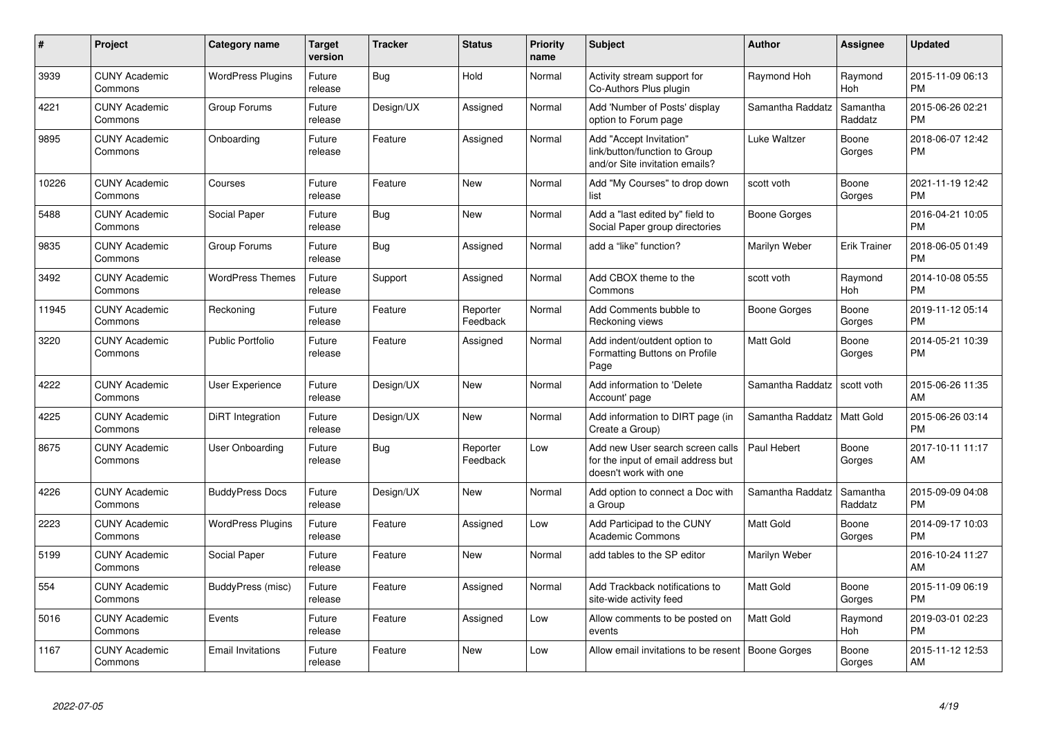| #     | <b>Project</b>                  | Category name            | <b>Target</b><br>version | <b>Tracker</b> | <b>Status</b>        | <b>Priority</b><br>name | <b>Subject</b>                                                                                  | <b>Author</b>    | Assignee            | <b>Updated</b>                |
|-------|---------------------------------|--------------------------|--------------------------|----------------|----------------------|-------------------------|-------------------------------------------------------------------------------------------------|------------------|---------------------|-------------------------------|
| 3939  | <b>CUNY Academic</b><br>Commons | <b>WordPress Plugins</b> | Future<br>release        | Bug            | Hold                 | Normal                  | Activity stream support for<br>Co-Authors Plus plugin                                           | Raymond Hoh      | Raymond<br>Hoh      | 2015-11-09 06:13<br><b>PM</b> |
| 4221  | <b>CUNY Academic</b><br>Commons | Group Forums             | Future<br>release        | Design/UX      | Assigned             | Normal                  | Add 'Number of Posts' display<br>option to Forum page                                           | Samantha Raddatz | Samantha<br>Raddatz | 2015-06-26 02:21<br><b>PM</b> |
| 9895  | <b>CUNY Academic</b><br>Commons | Onboarding               | Future<br>release        | Feature        | Assigned             | Normal                  | Add "Accept Invitation"<br>link/button/function to Group<br>and/or Site invitation emails?      | Luke Waltzer     | Boone<br>Gorges     | 2018-06-07 12:42<br><b>PM</b> |
| 10226 | <b>CUNY Academic</b><br>Commons | Courses                  | Future<br>release        | Feature        | New                  | Normal                  | Add "My Courses" to drop down<br>list                                                           | scott voth       | Boone<br>Gorges     | 2021-11-19 12:42<br><b>PM</b> |
| 5488  | <b>CUNY Academic</b><br>Commons | Social Paper             | Future<br>release        | Bug            | New                  | Normal                  | Add a "last edited by" field to<br>Social Paper group directories                               | Boone Gorges     |                     | 2016-04-21 10:05<br><b>PM</b> |
| 9835  | <b>CUNY Academic</b><br>Commons | Group Forums             | Future<br>release        | Bug            | Assigned             | Normal                  | add a "like" function?                                                                          | Marilyn Weber    | <b>Erik Trainer</b> | 2018-06-05 01:49<br><b>PM</b> |
| 3492  | <b>CUNY Academic</b><br>Commons | <b>WordPress Themes</b>  | Future<br>release        | Support        | Assigned             | Normal                  | Add CBOX theme to the<br>Commons                                                                | scott voth       | Raymond<br>Hoh      | 2014-10-08 05:55<br><b>PM</b> |
| 11945 | <b>CUNY Academic</b><br>Commons | Reckoning                | Future<br>release        | Feature        | Reporter<br>Feedback | Normal                  | Add Comments bubble to<br>Reckoning views                                                       | Boone Gorges     | Boone<br>Gorges     | 2019-11-12 05:14<br><b>PM</b> |
| 3220  | <b>CUNY Academic</b><br>Commons | <b>Public Portfolio</b>  | Future<br>release        | Feature        | Assigned             | Normal                  | Add indent/outdent option to<br>Formatting Buttons on Profile<br>Page                           | <b>Matt Gold</b> | Boone<br>Gorges     | 2014-05-21 10:39<br><b>PM</b> |
| 4222  | <b>CUNY Academic</b><br>Commons | User Experience          | Future<br>release        | Design/UX      | New                  | Normal                  | Add information to 'Delete<br>Account' page                                                     | Samantha Raddatz | scott voth          | 2015-06-26 11:35<br>AM        |
| 4225  | <b>CUNY Academic</b><br>Commons | DiRT Integration         | Future<br>release        | Design/UX      | <b>New</b>           | Normal                  | Add information to DIRT page (in<br>Create a Group)                                             | Samantha Raddatz | Matt Gold           | 2015-06-26 03:14<br><b>PM</b> |
| 8675  | <b>CUNY Academic</b><br>Commons | User Onboarding          | Future<br>release        | Bug            | Reporter<br>Feedback | Low                     | Add new User search screen calls<br>for the input of email address but<br>doesn't work with one | Paul Hebert      | Boone<br>Gorges     | 2017-10-11 11:17<br>AM        |
| 4226  | <b>CUNY Academic</b><br>Commons | <b>BuddyPress Docs</b>   | Future<br>release        | Design/UX      | <b>New</b>           | Normal                  | Add option to connect a Doc with<br>a Group                                                     | Samantha Raddatz | Samantha<br>Raddatz | 2015-09-09 04:08<br><b>PM</b> |
| 2223  | <b>CUNY Academic</b><br>Commons | <b>WordPress Plugins</b> | Future<br>release        | Feature        | Assigned             | Low                     | Add Participad to the CUNY<br><b>Academic Commons</b>                                           | <b>Matt Gold</b> | Boone<br>Gorges     | 2014-09-17 10:03<br><b>PM</b> |
| 5199  | <b>CUNY Academic</b><br>Commons | Social Paper             | Future<br>release        | Feature        | New                  | Normal                  | add tables to the SP editor                                                                     | Marilyn Weber    |                     | 2016-10-24 11:27<br>AM        |
| 554   | <b>CUNY Academic</b><br>Commons | BuddyPress (misc)        | Future<br>release        | Feature        | Assigned             | Normal                  | Add Trackback notifications to<br>site-wide activity feed                                       | <b>Matt Gold</b> | Boone<br>Gorges     | 2015-11-09 06:19<br><b>PM</b> |
| 5016  | <b>CUNY Academic</b><br>Commons | Events                   | Future<br>release        | Feature        | Assigned             | Low                     | Allow comments to be posted on<br>events                                                        | <b>Matt Gold</b> | Raymond<br>Hoh      | 2019-03-01 02:23<br><b>PM</b> |
| 1167  | <b>CUNY Academic</b><br>Commons | <b>Email Invitations</b> | Future<br>release        | Feature        | <b>New</b>           | Low                     | Allow email invitations to be resent                                                            | Boone Gorges     | Boone<br>Gorges     | 2015-11-12 12:53<br>AM        |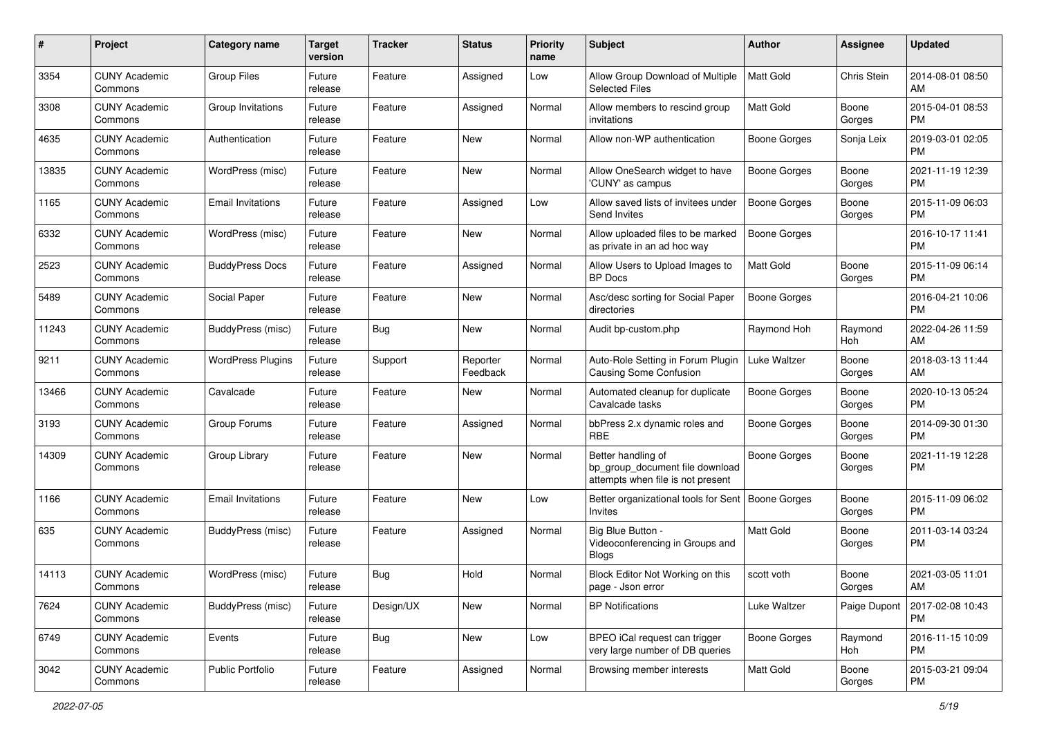| #     | Project                         | <b>Category name</b>     | <b>Target</b><br>version | <b>Tracker</b> | <b>Status</b>        | <b>Priority</b><br>name | <b>Subject</b>                                                                             | Author              | Assignee        | <b>Updated</b>                |
|-------|---------------------------------|--------------------------|--------------------------|----------------|----------------------|-------------------------|--------------------------------------------------------------------------------------------|---------------------|-----------------|-------------------------------|
| 3354  | <b>CUNY Academic</b><br>Commons | <b>Group Files</b>       | Future<br>release        | Feature        | Assigned             | Low                     | Allow Group Download of Multiple<br><b>Selected Files</b>                                  | <b>Matt Gold</b>    | Chris Stein     | 2014-08-01 08:50<br>AM        |
| 3308  | <b>CUNY Academic</b><br>Commons | Group Invitations        | Future<br>release        | Feature        | Assigned             | Normal                  | Allow members to rescind group<br>invitations                                              | <b>Matt Gold</b>    | Boone<br>Gorges | 2015-04-01 08:53<br><b>PM</b> |
| 4635  | CUNY Academic<br>Commons        | Authentication           | Future<br>release        | Feature        | New                  | Normal                  | Allow non-WP authentication                                                                | Boone Gorges        | Sonja Leix      | 2019-03-01 02:05<br><b>PM</b> |
| 13835 | <b>CUNY Academic</b><br>Commons | WordPress (misc)         | Future<br>release        | Feature        | New                  | Normal                  | Allow OneSearch widget to have<br>'CUNY' as campus                                         | Boone Gorges        | Boone<br>Gorges | 2021-11-19 12:39<br><b>PM</b> |
| 1165  | CUNY Academic<br>Commons        | <b>Email Invitations</b> | Future<br>release        | Feature        | Assigned             | Low                     | Allow saved lists of invitees under<br>Send Invites                                        | <b>Boone Gorges</b> | Boone<br>Gorges | 2015-11-09 06:03<br><b>PM</b> |
| 6332  | <b>CUNY Academic</b><br>Commons | WordPress (misc)         | Future<br>release        | Feature        | New                  | Normal                  | Allow uploaded files to be marked<br>as private in an ad hoc way                           | <b>Boone Gorges</b> |                 | 2016-10-17 11:41<br><b>PM</b> |
| 2523  | <b>CUNY Academic</b><br>Commons | <b>BuddyPress Docs</b>   | Future<br>release        | Feature        | Assigned             | Normal                  | Allow Users to Upload Images to<br><b>BP</b> Docs                                          | <b>Matt Gold</b>    | Boone<br>Gorges | 2015-11-09 06:14<br><b>PM</b> |
| 5489  | <b>CUNY Academic</b><br>Commons | Social Paper             | Future<br>release        | Feature        | New                  | Normal                  | Asc/desc sorting for Social Paper<br>directories                                           | <b>Boone Gorges</b> |                 | 2016-04-21 10:06<br><b>PM</b> |
| 11243 | <b>CUNY Academic</b><br>Commons | BuddyPress (misc)        | Future<br>release        | Bug            | New                  | Normal                  | Audit bp-custom.php                                                                        | Raymond Hoh         | Raymond<br>Hoh  | 2022-04-26 11:59<br>AM        |
| 9211  | CUNY Academic<br>Commons        | <b>WordPress Plugins</b> | Future<br>release        | Support        | Reporter<br>Feedback | Normal                  | Auto-Role Setting in Forum Plugin<br>Causing Some Confusion                                | Luke Waltzer        | Boone<br>Gorges | 2018-03-13 11:44<br>AM        |
| 13466 | <b>CUNY Academic</b><br>Commons | Cavalcade                | Future<br>release        | Feature        | New                  | Normal                  | Automated cleanup for duplicate<br>Cavalcade tasks                                         | Boone Gorges        | Boone<br>Gorges | 2020-10-13 05:24<br><b>PM</b> |
| 3193  | <b>CUNY Academic</b><br>Commons | Group Forums             | Future<br>release        | Feature        | Assigned             | Normal                  | bbPress 2.x dynamic roles and<br><b>RBE</b>                                                | Boone Gorges        | Boone<br>Gorges | 2014-09-30 01:30<br><b>PM</b> |
| 14309 | <b>CUNY Academic</b><br>Commons | Group Library            | Future<br>release        | Feature        | New                  | Normal                  | Better handling of<br>bp group document file download<br>attempts when file is not present | <b>Boone Gorges</b> | Boone<br>Gorges | 2021-11-19 12:28<br><b>PM</b> |
| 1166  | <b>CUNY Academic</b><br>Commons | <b>Email Invitations</b> | Future<br>release        | Feature        | New                  | Low                     | Better organizational tools for Sent   Boone Gorges<br>Invites                             |                     | Boone<br>Gorges | 2015-11-09 06:02<br><b>PM</b> |
| 635   | <b>CUNY Academic</b><br>Commons | BuddyPress (misc)        | Future<br>release        | Feature        | Assigned             | Normal                  | Big Blue Button -<br>Videoconferencing in Groups and<br><b>Blogs</b>                       | <b>Matt Gold</b>    | Boone<br>Gorges | 2011-03-14 03:24<br><b>PM</b> |
| 14113 | CUNY Academic<br>Commons        | WordPress (misc)         | Future<br>release        | Bug            | Hold                 | Normal                  | Block Editor Not Working on this<br>page - Json error                                      | scott voth          | Boone<br>Gorges | 2021-03-05 11:01<br>AM        |
| 7624  | <b>CUNY Academic</b><br>Commons | BuddyPress (misc)        | Future<br>release        | Design/UX      | New                  | Normal                  | <b>BP</b> Notifications                                                                    | Luke Waltzer        | Paige Dupont    | 2017-02-08 10:43<br><b>PM</b> |
| 6749  | <b>CUNY Academic</b><br>Commons | Events                   | Future<br>release        | <b>Bug</b>     | New                  | Low                     | BPEO iCal request can trigger<br>very large number of DB queries                           | Boone Gorges        | Raymond<br>Hoh  | 2016-11-15 10:09<br><b>PM</b> |
| 3042  | <b>CUNY Academic</b><br>Commons | Public Portfolio         | Future<br>release        | Feature        | Assigned             | Normal                  | Browsing member interests                                                                  | Matt Gold           | Boone<br>Gorges | 2015-03-21 09:04<br>PM        |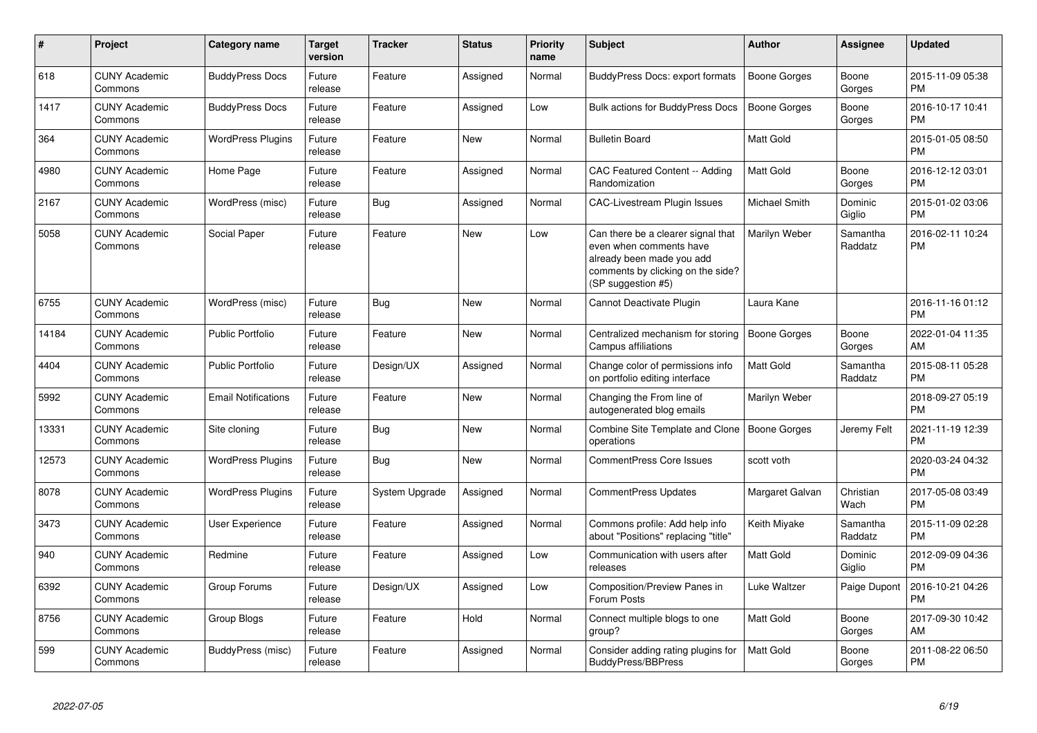| #     | Project                         | <b>Category name</b>       | <b>Target</b><br>version | <b>Tracker</b> | <b>Status</b> | <b>Priority</b><br>name | <b>Subject</b>                                                                                                                                        | <b>Author</b>       | <b>Assignee</b>     | <b>Updated</b>                |
|-------|---------------------------------|----------------------------|--------------------------|----------------|---------------|-------------------------|-------------------------------------------------------------------------------------------------------------------------------------------------------|---------------------|---------------------|-------------------------------|
| 618   | <b>CUNY Academic</b><br>Commons | <b>BuddyPress Docs</b>     | Future<br>release        | Feature        | Assigned      | Normal                  | <b>BuddyPress Docs: export formats</b>                                                                                                                | <b>Boone Gorges</b> | Boone<br>Gorges     | 2015-11-09 05:38<br><b>PM</b> |
| 1417  | <b>CUNY Academic</b><br>Commons | <b>BuddyPress Docs</b>     | Future<br>release        | Feature        | Assigned      | Low                     | Bulk actions for BuddyPress Docs                                                                                                                      | Boone Gorges        | Boone<br>Gorges     | 2016-10-17 10:41<br><b>PM</b> |
| 364   | <b>CUNY Academic</b><br>Commons | <b>WordPress Plugins</b>   | Future<br>release        | Feature        | New           | Normal                  | <b>Bulletin Board</b>                                                                                                                                 | Matt Gold           |                     | 2015-01-05 08:50<br><b>PM</b> |
| 4980  | <b>CUNY Academic</b><br>Commons | Home Page                  | Future<br>release        | Feature        | Assigned      | Normal                  | CAC Featured Content -- Adding<br>Randomization                                                                                                       | Matt Gold           | Boone<br>Gorges     | 2016-12-12 03:01<br><b>PM</b> |
| 2167  | <b>CUNY Academic</b><br>Commons | WordPress (misc)           | Future<br>release        | Bug            | Assigned      | Normal                  | CAC-Livestream Plugin Issues                                                                                                                          | Michael Smith       | Dominic<br>Giglio   | 2015-01-02 03:06<br><b>PM</b> |
| 5058  | <b>CUNY Academic</b><br>Commons | Social Paper               | Future<br>release        | Feature        | <b>New</b>    | Low                     | Can there be a clearer signal that<br>even when comments have<br>already been made you add<br>comments by clicking on the side?<br>(SP suggestion #5) | Marilyn Weber       | Samantha<br>Raddatz | 2016-02-11 10:24<br><b>PM</b> |
| 6755  | <b>CUNY Academic</b><br>Commons | WordPress (misc)           | Future<br>release        | <b>Bug</b>     | <b>New</b>    | Normal                  | Cannot Deactivate Plugin                                                                                                                              | Laura Kane          |                     | 2016-11-16 01:12<br><b>PM</b> |
| 14184 | <b>CUNY Academic</b><br>Commons | <b>Public Portfolio</b>    | Future<br>release        | Feature        | <b>New</b>    | Normal                  | Centralized mechanism for storing<br>Campus affiliations                                                                                              | <b>Boone Gorges</b> | Boone<br>Gorges     | 2022-01-04 11:35<br>AM        |
| 4404  | <b>CUNY Academic</b><br>Commons | <b>Public Portfolio</b>    | Future<br>release        | Design/UX      | Assigned      | Normal                  | Change color of permissions info<br>on portfolio editing interface                                                                                    | <b>Matt Gold</b>    | Samantha<br>Raddatz | 2015-08-11 05:28<br><b>PM</b> |
| 5992  | <b>CUNY Academic</b><br>Commons | <b>Email Notifications</b> | Future<br>release        | Feature        | New           | Normal                  | Changing the From line of<br>autogenerated blog emails                                                                                                | Marilyn Weber       |                     | 2018-09-27 05:19<br><b>PM</b> |
| 13331 | <b>CUNY Academic</b><br>Commons | Site cloning               | Future<br>release        | Bug            | <b>New</b>    | Normal                  | Combine Site Template and Clone<br>operations                                                                                                         | <b>Boone Gorges</b> | Jeremy Felt         | 2021-11-19 12:39<br><b>PM</b> |
| 12573 | <b>CUNY Academic</b><br>Commons | <b>WordPress Plugins</b>   | Future<br>release        | Bug            | New           | Normal                  | <b>CommentPress Core Issues</b>                                                                                                                       | scott voth          |                     | 2020-03-24 04:32<br><b>PM</b> |
| 8078  | <b>CUNY Academic</b><br>Commons | <b>WordPress Plugins</b>   | Future<br>release        | System Upgrade | Assigned      | Normal                  | <b>CommentPress Updates</b>                                                                                                                           | Margaret Galvan     | Christian<br>Wach   | 2017-05-08 03:49<br><b>PM</b> |
| 3473  | <b>CUNY Academic</b><br>Commons | User Experience            | Future<br>release        | Feature        | Assigned      | Normal                  | Commons profile: Add help info<br>about "Positions" replacing "title"                                                                                 | Keith Miyake        | Samantha<br>Raddatz | 2015-11-09 02:28<br><b>PM</b> |
| 940   | <b>CUNY Academic</b><br>Commons | Redmine                    | Future<br>release        | Feature        | Assigned      | Low                     | Communication with users after<br>releases                                                                                                            | <b>Matt Gold</b>    | Dominic<br>Giglio   | 2012-09-09 04:36<br><b>PM</b> |
| 6392  | <b>CUNY Academic</b><br>Commons | Group Forums               | Future<br>release        | Design/UX      | Assigned      | Low                     | <b>Composition/Preview Panes in</b><br>Forum Posts                                                                                                    | Luke Waltzer        | Paige Dupont        | 2016-10-21 04:26<br><b>PM</b> |
| 8756  | <b>CUNY Academic</b><br>Commons | Group Blogs                | Future<br>release        | Feature        | Hold          | Normal                  | Connect multiple blogs to one<br>group?                                                                                                               | Matt Gold           | Boone<br>Gorges     | 2017-09-30 10:42<br>AM        |
| 599   | <b>CUNY Academic</b><br>Commons | BuddyPress (misc)          | Future<br>release        | Feature        | Assigned      | Normal                  | Consider adding rating plugins for<br>BuddyPress/BBPress                                                                                              | <b>Matt Gold</b>    | Boone<br>Gorges     | 2011-08-22 06:50<br><b>PM</b> |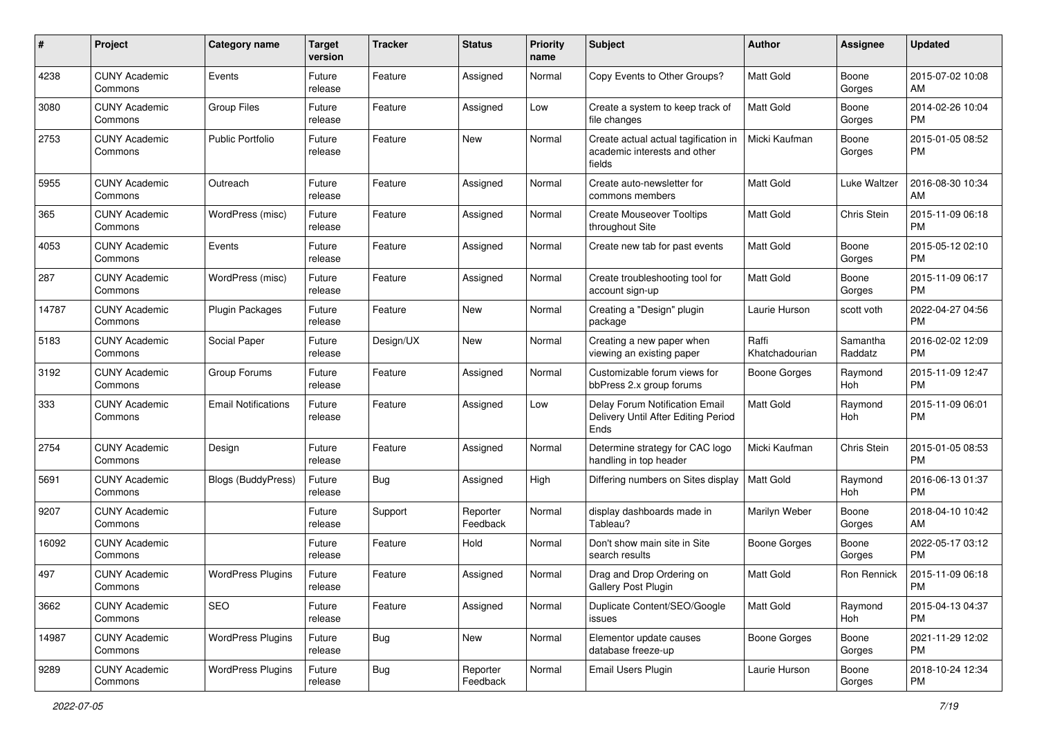| #     | Project                         | <b>Category name</b>       | <b>Target</b><br>version | <b>Tracker</b> | <b>Status</b>        | <b>Priority</b><br>name | Subject                                                                        | Author                  | <b>Assignee</b>     | <b>Updated</b>                |
|-------|---------------------------------|----------------------------|--------------------------|----------------|----------------------|-------------------------|--------------------------------------------------------------------------------|-------------------------|---------------------|-------------------------------|
| 4238  | <b>CUNY Academic</b><br>Commons | Events                     | Future<br>release        | Feature        | Assigned             | Normal                  | Copy Events to Other Groups?                                                   | <b>Matt Gold</b>        | Boone<br>Gorges     | 2015-07-02 10:08<br>AM        |
| 3080  | <b>CUNY Academic</b><br>Commons | <b>Group Files</b>         | Future<br>release        | Feature        | Assigned             | Low                     | Create a system to keep track of<br>file changes                               | <b>Matt Gold</b>        | Boone<br>Gorges     | 2014-02-26 10:04<br><b>PM</b> |
| 2753  | <b>CUNY Academic</b><br>Commons | Public Portfolio           | Future<br>release        | Feature        | New                  | Normal                  | Create actual actual tagification in<br>academic interests and other<br>fields | Micki Kaufman           | Boone<br>Gorges     | 2015-01-05 08:52<br><b>PM</b> |
| 5955  | <b>CUNY Academic</b><br>Commons | Outreach                   | Future<br>release        | Feature        | Assigned             | Normal                  | Create auto-newsletter for<br>commons members                                  | <b>Matt Gold</b>        | Luke Waltzer        | 2016-08-30 10:34<br>AM        |
| 365   | <b>CUNY Academic</b><br>Commons | WordPress (misc)           | Future<br>release        | Feature        | Assigned             | Normal                  | <b>Create Mouseover Tooltips</b><br>throughout Site                            | <b>Matt Gold</b>        | Chris Stein         | 2015-11-09 06:18<br><b>PM</b> |
| 4053  | <b>CUNY Academic</b><br>Commons | Events                     | Future<br>release        | Feature        | Assigned             | Normal                  | Create new tab for past events                                                 | Matt Gold               | Boone<br>Gorges     | 2015-05-12 02:10<br><b>PM</b> |
| 287   | <b>CUNY Academic</b><br>Commons | WordPress (misc)           | Future<br>release        | Feature        | Assigned             | Normal                  | Create troubleshooting tool for<br>account sign-up                             | <b>Matt Gold</b>        | Boone<br>Gorges     | 2015-11-09 06:17<br><b>PM</b> |
| 14787 | <b>CUNY Academic</b><br>Commons | Plugin Packages            | Future<br>release        | Feature        | New                  | Normal                  | Creating a "Design" plugin<br>package                                          | Laurie Hurson           | scott voth          | 2022-04-27 04:56<br><b>PM</b> |
| 5183  | <b>CUNY Academic</b><br>Commons | Social Paper               | Future<br>release        | Design/UX      | <b>New</b>           | Normal                  | Creating a new paper when<br>viewing an existing paper                         | Raffi<br>Khatchadourian | Samantha<br>Raddatz | 2016-02-02 12:09<br><b>PM</b> |
| 3192  | <b>CUNY Academic</b><br>Commons | Group Forums               | Future<br>release        | Feature        | Assigned             | Normal                  | Customizable forum views for<br>bbPress 2.x group forums                       | Boone Gorges            | Raymond<br>Hoh      | 2015-11-09 12:47<br><b>PM</b> |
| 333   | <b>CUNY Academic</b><br>Commons | <b>Email Notifications</b> | Future<br>release        | Feature        | Assigned             | Low                     | Delay Forum Notification Email<br>Delivery Until After Editing Period<br>Ends  | Matt Gold               | Raymond<br>Hoh      | 2015-11-09 06:01<br><b>PM</b> |
| 2754  | <b>CUNY Academic</b><br>Commons | Design                     | Future<br>release        | Feature        | Assigned             | Normal                  | Determine strategy for CAC logo<br>handling in top header                      | Micki Kaufman           | Chris Stein         | 2015-01-05 08:53<br><b>PM</b> |
| 5691  | <b>CUNY Academic</b><br>Commons | Blogs (BuddyPress)         | Future<br>release        | Bug            | Assigned             | High                    | Differing numbers on Sites display                                             | <b>Matt Gold</b>        | Raymond<br>Hoh      | 2016-06-13 01:37<br><b>PM</b> |
| 9207  | <b>CUNY Academic</b><br>Commons |                            | Future<br>release        | Support        | Reporter<br>Feedback | Normal                  | display dashboards made in<br>Tableau?                                         | Marilyn Weber           | Boone<br>Gorges     | 2018-04-10 10:42<br>AM        |
| 16092 | <b>CUNY Academic</b><br>Commons |                            | Future<br>release        | Feature        | Hold                 | Normal                  | Don't show main site in Site<br>search results                                 | Boone Gorges            | Boone<br>Gorges     | 2022-05-17 03:12<br><b>PM</b> |
| 497   | <b>CUNY Academic</b><br>Commons | <b>WordPress Plugins</b>   | Future<br>release        | Feature        | Assigned             | Normal                  | Drag and Drop Ordering on<br>Gallery Post Plugin                               | <b>Matt Gold</b>        | Ron Rennick         | 2015-11-09 06:18<br>PM        |
| 3662  | <b>CUNY Academic</b><br>Commons | SEO                        | Future<br>release        | Feature        | Assigned             | Normal                  | Duplicate Content/SEO/Google<br>issues                                         | <b>Matt Gold</b>        | Raymond<br>Hoh      | 2015-04-13 04:37<br><b>PM</b> |
| 14987 | <b>CUNY Academic</b><br>Commons | <b>WordPress Plugins</b>   | Future<br>release        | <b>Bug</b>     | New                  | Normal                  | Elementor update causes<br>database freeze-up                                  | Boone Gorges            | Boone<br>Gorges     | 2021-11-29 12:02<br><b>PM</b> |
| 9289  | <b>CUNY Academic</b><br>Commons | <b>WordPress Plugins</b>   | Future<br>release        | <b>Bug</b>     | Reporter<br>Feedback | Normal                  | Email Users Plugin                                                             | Laurie Hurson           | Boone<br>Gorges     | 2018-10-24 12:34<br><b>PM</b> |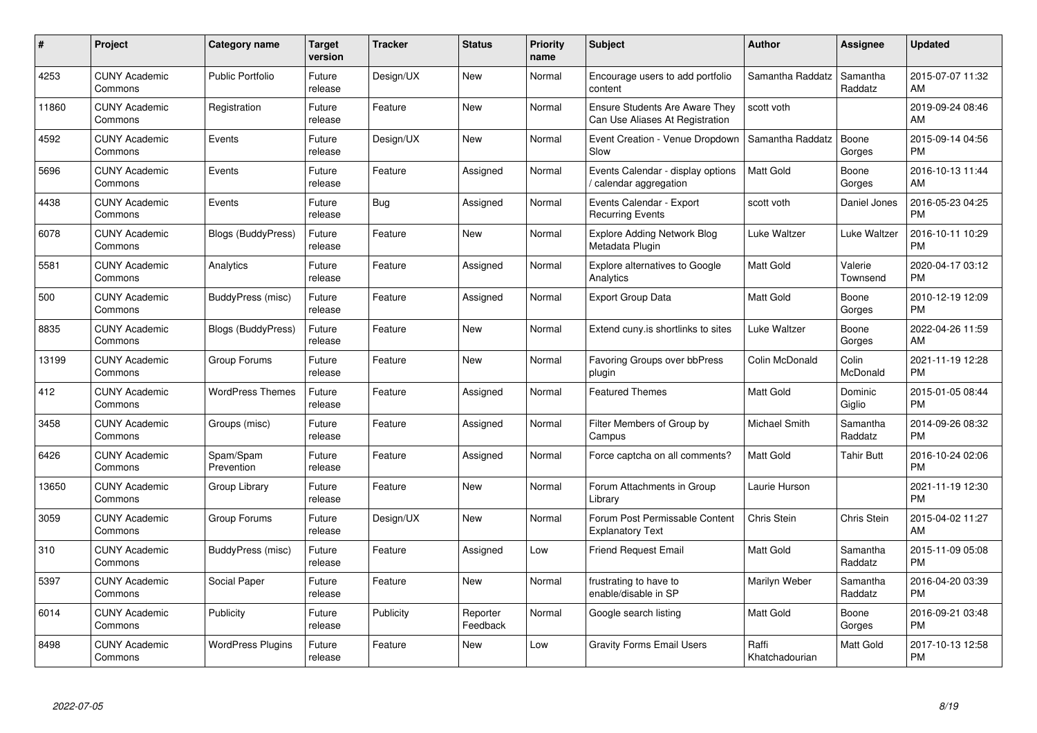| #     | Project                         | <b>Category name</b>      | Target<br>version | <b>Tracker</b> | <b>Status</b>        | Priority<br>name | <b>Subject</b>                                                           | <b>Author</b>           | <b>Assignee</b>     | <b>Updated</b>                |
|-------|---------------------------------|---------------------------|-------------------|----------------|----------------------|------------------|--------------------------------------------------------------------------|-------------------------|---------------------|-------------------------------|
| 4253  | <b>CUNY Academic</b><br>Commons | <b>Public Portfolio</b>   | Future<br>release | Design/UX      | <b>New</b>           | Normal           | Encourage users to add portfolio<br>content                              | Samantha Raddatz        | Samantha<br>Raddatz | 2015-07-07 11:32<br><b>AM</b> |
| 11860 | <b>CUNY Academic</b><br>Commons | Registration              | Future<br>release | Feature        | <b>New</b>           | Normal           | <b>Ensure Students Are Aware They</b><br>Can Use Aliases At Registration | scott voth              |                     | 2019-09-24 08:46<br>AM        |
| 4592  | <b>CUNY Academic</b><br>Commons | Events                    | Future<br>release | Design/UX      | <b>New</b>           | Normal           | Event Creation - Venue Dropdown<br>Slow                                  | Samantha Raddatz        | Boone<br>Gorges     | 2015-09-14 04:56<br><b>PM</b> |
| 5696  | <b>CUNY Academic</b><br>Commons | Events                    | Future<br>release | Feature        | Assigned             | Normal           | Events Calendar - display options<br>calendar aggregation                | <b>Matt Gold</b>        | Boone<br>Gorges     | 2016-10-13 11:44<br>AM        |
| 4438  | <b>CUNY Academic</b><br>Commons | Events                    | Future<br>release | Bug            | Assigned             | Normal           | Events Calendar - Export<br><b>Recurring Events</b>                      | scott voth              | Daniel Jones        | 2016-05-23 04:25<br><b>PM</b> |
| 6078  | <b>CUNY Academic</b><br>Commons | <b>Blogs (BuddyPress)</b> | Future<br>release | Feature        | New                  | Normal           | Explore Adding Network Blog<br>Metadata Plugin                           | Luke Waltzer            | Luke Waltzer        | 2016-10-11 10:29<br><b>PM</b> |
| 5581  | <b>CUNY Academic</b><br>Commons | Analytics                 | Future<br>release | Feature        | Assigned             | Normal           | <b>Explore alternatives to Google</b><br>Analytics                       | Matt Gold               | Valerie<br>Townsend | 2020-04-17 03:12<br><b>PM</b> |
| 500   | <b>CUNY Academic</b><br>Commons | BuddyPress (misc)         | Future<br>release | Feature        | Assigned             | Normal           | <b>Export Group Data</b>                                                 | <b>Matt Gold</b>        | Boone<br>Gorges     | 2010-12-19 12:09<br><b>PM</b> |
| 8835  | <b>CUNY Academic</b><br>Commons | <b>Blogs (BuddyPress)</b> | Future<br>release | Feature        | New                  | Normal           | Extend cuny.is shortlinks to sites                                       | Luke Waltzer            | Boone<br>Gorges     | 2022-04-26 11:59<br>AM        |
| 13199 | <b>CUNY Academic</b><br>Commons | Group Forums              | Future<br>release | Feature        | <b>New</b>           | Normal           | Favoring Groups over bbPress<br>plugin                                   | Colin McDonald          | Colin<br>McDonald   | 2021-11-19 12:28<br>PM        |
| 412   | <b>CUNY Academic</b><br>Commons | <b>WordPress Themes</b>   | Future<br>release | Feature        | Assigned             | Normal           | <b>Featured Themes</b>                                                   | Matt Gold               | Dominic<br>Giglio   | 2015-01-05 08:44<br><b>PM</b> |
| 3458  | <b>CUNY Academic</b><br>Commons | Groups (misc)             | Future<br>release | Feature        | Assigned             | Normal           | Filter Members of Group by<br>Campus                                     | Michael Smith           | Samantha<br>Raddatz | 2014-09-26 08:32<br><b>PM</b> |
| 6426  | <b>CUNY Academic</b><br>Commons | Spam/Spam<br>Prevention   | Future<br>release | Feature        | Assigned             | Normal           | Force captcha on all comments?                                           | Matt Gold               | Tahir Butt          | 2016-10-24 02:06<br>PM.       |
| 13650 | <b>CUNY Academic</b><br>Commons | Group Library             | Future<br>release | Feature        | New                  | Normal           | Forum Attachments in Group<br>Library                                    | Laurie Hurson           |                     | 2021-11-19 12:30<br><b>PM</b> |
| 3059  | <b>CUNY Academic</b><br>Commons | Group Forums              | Future<br>release | Design/UX      | New                  | Normal           | Forum Post Permissable Content<br><b>Explanatory Text</b>                | Chris Stein             | Chris Stein         | 2015-04-02 11:27<br>AM        |
| 310   | <b>CUNY Academic</b><br>Commons | BuddyPress (misc)         | Future<br>release | Feature        | Assigned             | Low              | <b>Friend Request Email</b>                                              | Matt Gold               | Samantha<br>Raddatz | 2015-11-09 05:08<br><b>PM</b> |
| 5397  | <b>CUNY Academic</b><br>Commons | Social Paper              | Future<br>release | Feature        | New                  | Normal           | frustrating to have to<br>enable/disable in SP                           | Marilyn Weber           | Samantha<br>Raddatz | 2016-04-20 03:39<br><b>PM</b> |
| 6014  | <b>CUNY Academic</b><br>Commons | Publicity                 | Future<br>release | Publicity      | Reporter<br>Feedback | Normal           | Google search listing                                                    | Matt Gold               | Boone<br>Gorges     | 2016-09-21 03:48<br><b>PM</b> |
| 8498  | <b>CUNY Academic</b><br>Commons | <b>WordPress Plugins</b>  | Future<br>release | Feature        | <b>New</b>           | Low              | <b>Gravity Forms Email Users</b>                                         | Raffi<br>Khatchadourian | Matt Gold           | 2017-10-13 12:58<br>PM        |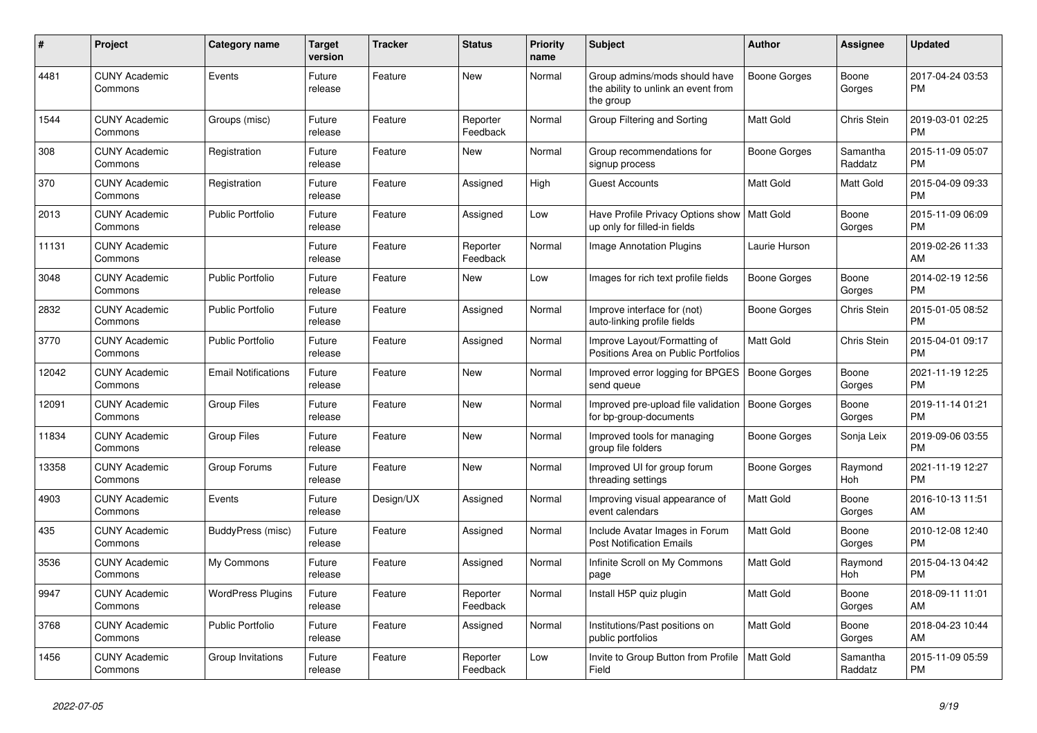| #     | <b>Project</b>                  | Category name              | Target<br>version | <b>Tracker</b> | <b>Status</b>        | <b>Priority</b><br>name | <b>Subject</b>                                                                    | <b>Author</b>       | Assignee            | <b>Updated</b>                |
|-------|---------------------------------|----------------------------|-------------------|----------------|----------------------|-------------------------|-----------------------------------------------------------------------------------|---------------------|---------------------|-------------------------------|
| 4481  | <b>CUNY Academic</b><br>Commons | Events                     | Future<br>release | Feature        | New                  | Normal                  | Group admins/mods should have<br>the ability to unlink an event from<br>the group | Boone Gorges        | Boone<br>Gorges     | 2017-04-24 03:53<br><b>PM</b> |
| 1544  | <b>CUNY Academic</b><br>Commons | Groups (misc)              | Future<br>release | Feature        | Reporter<br>Feedback | Normal                  | Group Filtering and Sorting                                                       | Matt Gold           | Chris Stein         | 2019-03-01 02:25<br><b>PM</b> |
| 308   | <b>CUNY Academic</b><br>Commons | Registration               | Future<br>release | Feature        | New                  | Normal                  | Group recommendations for<br>signup process                                       | Boone Gorges        | Samantha<br>Raddatz | 2015-11-09 05:07<br><b>PM</b> |
| 370   | <b>CUNY Academic</b><br>Commons | Registration               | Future<br>release | Feature        | Assigned             | High                    | <b>Guest Accounts</b>                                                             | Matt Gold           | Matt Gold           | 2015-04-09 09:33<br><b>PM</b> |
| 2013  | <b>CUNY Academic</b><br>Commons | <b>Public Portfolio</b>    | Future<br>release | Feature        | Assigned             | Low                     | Have Profile Privacy Options show<br>up only for filled-in fields                 | Matt Gold           | Boone<br>Gorges     | 2015-11-09 06:09<br><b>PM</b> |
| 11131 | <b>CUNY Academic</b><br>Commons |                            | Future<br>release | Feature        | Reporter<br>Feedback | Normal                  | <b>Image Annotation Plugins</b>                                                   | Laurie Hurson       |                     | 2019-02-26 11:33<br>AM        |
| 3048  | <b>CUNY Academic</b><br>Commons | <b>Public Portfolio</b>    | Future<br>release | Feature        | <b>New</b>           | Low                     | Images for rich text profile fields                                               | Boone Gorges        | Boone<br>Gorges     | 2014-02-19 12:56<br><b>PM</b> |
| 2832  | <b>CUNY Academic</b><br>Commons | <b>Public Portfolio</b>    | Future<br>release | Feature        | Assigned             | Normal                  | Improve interface for (not)<br>auto-linking profile fields                        | Boone Gorges        | Chris Stein         | 2015-01-05 08:52<br><b>PM</b> |
| 3770  | <b>CUNY Academic</b><br>Commons | <b>Public Portfolio</b>    | Future<br>release | Feature        | Assigned             | Normal                  | Improve Layout/Formatting of<br>Positions Area on Public Portfolios               | Matt Gold           | Chris Stein         | 2015-04-01 09:17<br><b>PM</b> |
| 12042 | <b>CUNY Academic</b><br>Commons | <b>Email Notifications</b> | Future<br>release | Feature        | <b>New</b>           | Normal                  | Improved error logging for BPGES<br>send queue                                    | <b>Boone Gorges</b> | Boone<br>Gorges     | 2021-11-19 12:25<br><b>PM</b> |
| 12091 | <b>CUNY Academic</b><br>Commons | <b>Group Files</b>         | Future<br>release | Feature        | New                  | Normal                  | Improved pre-upload file validation<br>for bp-group-documents                     | <b>Boone Gorges</b> | Boone<br>Gorges     | 2019-11-14 01:21<br><b>PM</b> |
| 11834 | <b>CUNY Academic</b><br>Commons | <b>Group Files</b>         | Future<br>release | Feature        | New                  | Normal                  | Improved tools for managing<br>group file folders                                 | Boone Gorges        | Sonja Leix          | 2019-09-06 03:55<br><b>PM</b> |
| 13358 | <b>CUNY Academic</b><br>Commons | Group Forums               | Future<br>release | Feature        | <b>New</b>           | Normal                  | Improved UI for group forum<br>threading settings                                 | Boone Gorges        | Raymond<br>Hoh      | 2021-11-19 12:27<br><b>PM</b> |
| 4903  | <b>CUNY Academic</b><br>Commons | Events                     | Future<br>release | Design/UX      | Assigned             | Normal                  | Improving visual appearance of<br>event calendars                                 | Matt Gold           | Boone<br>Gorges     | 2016-10-13 11:51<br>AM        |
| 435   | <b>CUNY Academic</b><br>Commons | BuddyPress (misc)          | Future<br>release | Feature        | Assigned             | Normal                  | Include Avatar Images in Forum<br>Post Notification Emails                        | Matt Gold           | Boone<br>Gorges     | 2010-12-08 12:40<br><b>PM</b> |
| 3536  | <b>CUNY Academic</b><br>Commons | My Commons                 | Future<br>release | Feature        | Assigned             | Normal                  | Infinite Scroll on My Commons<br>page                                             | <b>Matt Gold</b>    | Raymond<br>Hoh      | 2015-04-13 04:42<br><b>PM</b> |
| 9947  | <b>CUNY Academic</b><br>Commons | <b>WordPress Plugins</b>   | Future<br>release | Feature        | Reporter<br>Feedback | Normal                  | Install H5P quiz plugin                                                           | <b>Matt Gold</b>    | Boone<br>Gorges     | 2018-09-11 11:01<br>AM        |
| 3768  | <b>CUNY Academic</b><br>Commons | Public Portfolio           | Future<br>release | Feature        | Assigned             | Normal                  | Institutions/Past positions on<br>public portfolios                               | Matt Gold           | Boone<br>Gorges     | 2018-04-23 10:44<br>AM        |
| 1456  | <b>CUNY Academic</b><br>Commons | Group Invitations          | Future<br>release | Feature        | Reporter<br>Feedback | Low                     | Invite to Group Button from Profile<br>Field                                      | <b>Matt Gold</b>    | Samantha<br>Raddatz | 2015-11-09 05:59<br><b>PM</b> |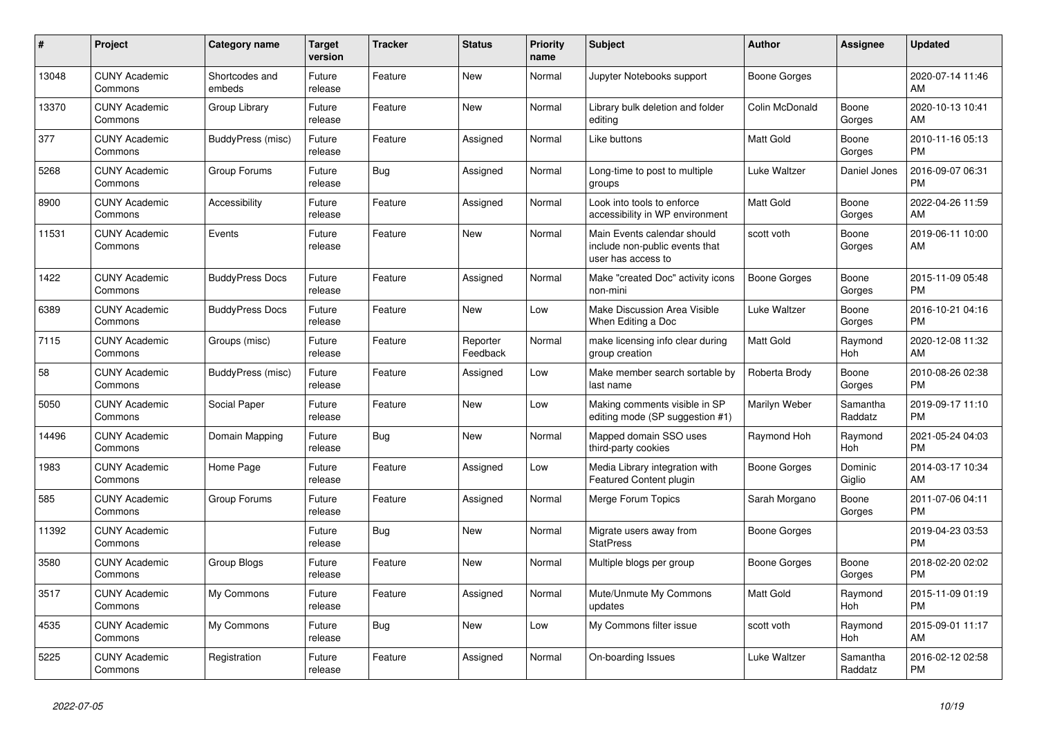| #     | <b>Project</b>                  | <b>Category name</b>     | <b>Target</b><br>version | <b>Tracker</b> | <b>Status</b>        | <b>Priority</b><br>name | <b>Subject</b>                                                                      | <b>Author</b>    | Assignee            | <b>Updated</b>                |
|-------|---------------------------------|--------------------------|--------------------------|----------------|----------------------|-------------------------|-------------------------------------------------------------------------------------|------------------|---------------------|-------------------------------|
| 13048 | <b>CUNY Academic</b><br>Commons | Shortcodes and<br>embeds | Future<br>release        | Feature        | New                  | Normal                  | Jupyter Notebooks support                                                           | Boone Gorges     |                     | 2020-07-14 11:46<br>AM        |
| 13370 | <b>CUNY Academic</b><br>Commons | Group Library            | Future<br>release        | Feature        | New                  | Normal                  | Library bulk deletion and folder<br>editing                                         | Colin McDonald   | Boone<br>Gorges     | 2020-10-13 10:41<br>AM        |
| 377   | <b>CUNY Academic</b><br>Commons | BuddyPress (misc)        | Future<br>release        | Feature        | Assigned             | Normal                  | Like buttons                                                                        | <b>Matt Gold</b> | Boone<br>Gorges     | 2010-11-16 05:13<br><b>PM</b> |
| 5268  | <b>CUNY Academic</b><br>Commons | Group Forums             | Future<br>release        | <b>Bug</b>     | Assigned             | Normal                  | Long-time to post to multiple<br>groups                                             | Luke Waltzer     | Daniel Jones        | 2016-09-07 06:31<br><b>PM</b> |
| 8900  | <b>CUNY Academic</b><br>Commons | Accessibility            | Future<br>release        | Feature        | Assigned             | Normal                  | Look into tools to enforce<br>accessibility in WP environment                       | Matt Gold        | Boone<br>Gorges     | 2022-04-26 11:59<br>AM        |
| 11531 | <b>CUNY Academic</b><br>Commons | Events                   | Future<br>release        | Feature        | New                  | Normal                  | Main Events calendar should<br>include non-public events that<br>user has access to | scott voth       | Boone<br>Gorges     | 2019-06-11 10:00<br>AM        |
| 1422  | <b>CUNY Academic</b><br>Commons | <b>BuddyPress Docs</b>   | Future<br>release        | Feature        | Assigned             | Normal                  | Make "created Doc" activity icons<br>non-mini                                       | Boone Gorges     | Boone<br>Gorges     | 2015-11-09 05:48<br><b>PM</b> |
| 6389  | <b>CUNY Academic</b><br>Commons | <b>BuddyPress Docs</b>   | Future<br>release        | Feature        | New                  | Low                     | Make Discussion Area Visible<br>When Editing a Doc                                  | Luke Waltzer     | Boone<br>Gorges     | 2016-10-21 04:16<br><b>PM</b> |
| 7115  | <b>CUNY Academic</b><br>Commons | Groups (misc)            | Future<br>release        | Feature        | Reporter<br>Feedback | Normal                  | make licensing info clear during<br>group creation                                  | <b>Matt Gold</b> | Raymond<br>Hoh      | 2020-12-08 11:32<br>AM        |
| 58    | <b>CUNY Academic</b><br>Commons | BuddyPress (misc)        | Future<br>release        | Feature        | Assigned             | Low                     | Make member search sortable by<br>last name                                         | Roberta Brody    | Boone<br>Gorges     | 2010-08-26 02:38<br><b>PM</b> |
| 5050  | <b>CUNY Academic</b><br>Commons | Social Paper             | Future<br>release        | Feature        | New                  | Low                     | Making comments visible in SP<br>editing mode (SP suggestion #1)                    | Marilyn Weber    | Samantha<br>Raddatz | 2019-09-17 11:10<br><b>PM</b> |
| 14496 | <b>CUNY Academic</b><br>Commons | Domain Mapping           | Future<br>release        | Bug            | New                  | Normal                  | Mapped domain SSO uses<br>third-party cookies                                       | Raymond Hoh      | Raymond<br>Hoh      | 2021-05-24 04:03<br><b>PM</b> |
| 1983  | <b>CUNY Academic</b><br>Commons | Home Page                | Future<br>release        | Feature        | Assigned             | Low                     | Media Library integration with<br>Featured Content plugin                           | Boone Gorges     | Dominic<br>Giglio   | 2014-03-17 10:34<br>AM        |
| 585   | <b>CUNY Academic</b><br>Commons | Group Forums             | Future<br>release        | Feature        | Assigned             | Normal                  | Merge Forum Topics                                                                  | Sarah Morgano    | Boone<br>Gorges     | 2011-07-06 04:11<br><b>PM</b> |
| 11392 | <b>CUNY Academic</b><br>Commons |                          | Future<br>release        | Bug            | New                  | Normal                  | Migrate users away from<br><b>StatPress</b>                                         | Boone Gorges     |                     | 2019-04-23 03:53<br><b>PM</b> |
| 3580  | <b>CUNY Academic</b><br>Commons | Group Blogs              | Future<br>release        | Feature        | <b>New</b>           | Normal                  | Multiple blogs per group                                                            | Boone Gorges     | Boone<br>Gorges     | 2018-02-20 02:02<br><b>PM</b> |
| 3517  | <b>CUNY Academic</b><br>Commons | My Commons               | Future<br>release        | Feature        | Assigned             | Normal                  | Mute/Unmute My Commons<br>updates                                                   | <b>Matt Gold</b> | Raymond<br>Hoh      | 2015-11-09 01:19<br><b>PM</b> |
| 4535  | <b>CUNY Academic</b><br>Commons | My Commons               | Future<br>release        | Bug            | New                  | Low                     | My Commons filter issue                                                             | scott voth       | Raymond<br>Hoh      | 2015-09-01 11:17<br>AM        |
| 5225  | <b>CUNY Academic</b><br>Commons | Registration             | Future<br>release        | Feature        | Assigned             | Normal                  | On-boarding Issues                                                                  | Luke Waltzer     | Samantha<br>Raddatz | 2016-02-12 02:58<br><b>PM</b> |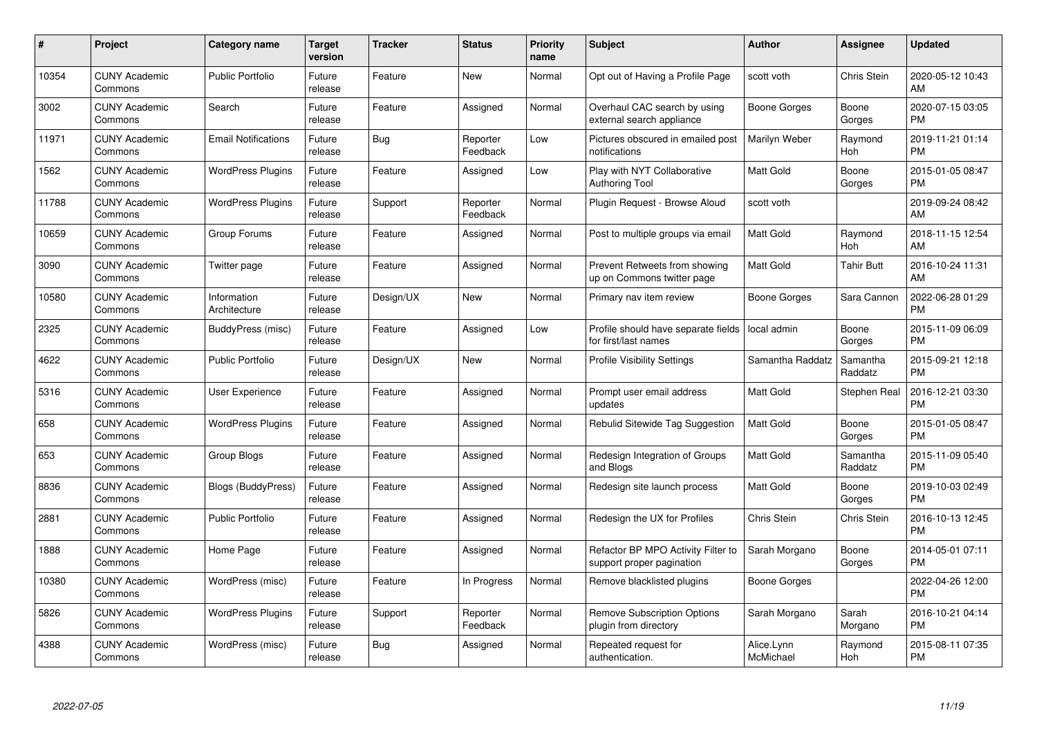| $\#$  | Project                         | <b>Category name</b>        | Target<br>version | <b>Tracker</b> | <b>Status</b>        | Priority<br>name | <b>Subject</b>                                                  | <b>Author</b>           | <b>Assignee</b>     | <b>Updated</b>                |
|-------|---------------------------------|-----------------------------|-------------------|----------------|----------------------|------------------|-----------------------------------------------------------------|-------------------------|---------------------|-------------------------------|
| 10354 | <b>CUNY Academic</b><br>Commons | <b>Public Portfolio</b>     | Future<br>release | Feature        | <b>New</b>           | Normal           | Opt out of Having a Profile Page                                | scott voth              | Chris Stein         | 2020-05-12 10:43<br>AM        |
| 3002  | <b>CUNY Academic</b><br>Commons | Search                      | Future<br>release | Feature        | Assigned             | Normal           | Overhaul CAC search by using<br>external search appliance       | Boone Gorges            | Boone<br>Gorges     | 2020-07-15 03:05<br><b>PM</b> |
| 11971 | <b>CUNY Academic</b><br>Commons | <b>Email Notifications</b>  | Future<br>release | Bug            | Reporter<br>Feedback | Low              | Pictures obscured in emailed post<br>notifications              | Marilyn Weber           | Raymond<br>Hoh      | 2019-11-21 01:14<br><b>PM</b> |
| 1562  | <b>CUNY Academic</b><br>Commons | <b>WordPress Plugins</b>    | Future<br>release | Feature        | Assigned             | Low              | Play with NYT Collaborative<br><b>Authoring Tool</b>            | <b>Matt Gold</b>        | Boone<br>Gorges     | 2015-01-05 08:47<br><b>PM</b> |
| 11788 | <b>CUNY Academic</b><br>Commons | <b>WordPress Plugins</b>    | Future<br>release | Support        | Reporter<br>Feedback | Normal           | Plugin Request - Browse Aloud                                   | scott voth              |                     | 2019-09-24 08:42<br>AM        |
| 10659 | <b>CUNY Academic</b><br>Commons | Group Forums                | Future<br>release | Feature        | Assigned             | Normal           | Post to multiple groups via email                               | <b>Matt Gold</b>        | Raymond<br>Hoh      | 2018-11-15 12:54<br>AM        |
| 3090  | <b>CUNY Academic</b><br>Commons | Twitter page                | Future<br>release | Feature        | Assigned             | Normal           | Prevent Retweets from showing<br>up on Commons twitter page     | Matt Gold               | <b>Tahir Butt</b>   | 2016-10-24 11:31<br>AM        |
| 10580 | <b>CUNY Academic</b><br>Commons | Information<br>Architecture | Future<br>release | Design/UX      | <b>New</b>           | Normal           | Primary nav item review                                         | Boone Gorges            | Sara Cannon         | 2022-06-28 01:29<br><b>PM</b> |
| 2325  | <b>CUNY Academic</b><br>Commons | BuddyPress (misc)           | Future<br>release | Feature        | Assigned             | Low              | Profile should have separate fields<br>for first/last names     | local admin             | Boone<br>Gorges     | 2015-11-09 06:09<br><b>PM</b> |
| 4622  | <b>CUNY Academic</b><br>Commons | <b>Public Portfolio</b>     | Future<br>release | Design/UX      | New                  | Normal           | <b>Profile Visibility Settings</b>                              | Samantha Raddatz        | Samantha<br>Raddatz | 2015-09-21 12:18<br><b>PM</b> |
| 5316  | <b>CUNY Academic</b><br>Commons | <b>User Experience</b>      | Future<br>release | Feature        | Assigned             | Normal           | Prompt user email address<br>updates                            | Matt Gold               | Stephen Real        | 2016-12-21 03:30<br><b>PM</b> |
| 658   | <b>CUNY Academic</b><br>Commons | <b>WordPress Plugins</b>    | Future<br>release | Feature        | Assigned             | Normal           | Rebulid Sitewide Tag Suggestion                                 | <b>Matt Gold</b>        | Boone<br>Gorges     | 2015-01-05 08:47<br><b>PM</b> |
| 653   | <b>CUNY Academic</b><br>Commons | Group Blogs                 | Future<br>release | Feature        | Assigned             | Normal           | Redesign Integration of Groups<br>and Blogs                     | Matt Gold               | Samantha<br>Raddatz | 2015-11-09 05:40<br><b>PM</b> |
| 8836  | <b>CUNY Academic</b><br>Commons | <b>Blogs (BuddyPress)</b>   | Future<br>release | Feature        | Assigned             | Normal           | Redesign site launch process                                    | <b>Matt Gold</b>        | Boone<br>Gorges     | 2019-10-03 02:49<br><b>PM</b> |
| 2881  | <b>CUNY Academic</b><br>Commons | <b>Public Portfolio</b>     | Future<br>release | Feature        | Assigned             | Normal           | Redesign the UX for Profiles                                    | Chris Stein             | <b>Chris Stein</b>  | 2016-10-13 12:45<br><b>PM</b> |
| 1888  | <b>CUNY Academic</b><br>Commons | Home Page                   | Future<br>release | Feature        | Assigned             | Normal           | Refactor BP MPO Activity Filter to<br>support proper pagination | Sarah Morgano           | Boone<br>Gorges     | 2014-05-01 07:11<br><b>PM</b> |
| 10380 | <b>CUNY Academic</b><br>Commons | WordPress (misc)            | Future<br>release | Feature        | In Progress          | Normal           | Remove blacklisted plugins                                      | Boone Gorges            |                     | 2022-04-26 12:00<br><b>PM</b> |
| 5826  | <b>CUNY Academic</b><br>Commons | <b>WordPress Plugins</b>    | Future<br>release | Support        | Reporter<br>Feedback | Normal           | <b>Remove Subscription Options</b><br>plugin from directory     | Sarah Morgano           | Sarah<br>Morgano    | 2016-10-21 04:14<br><b>PM</b> |
| 4388  | CUNY Academic<br>Commons        | WordPress (misc)            | Future<br>release | Bug            | Assigned             | Normal           | Repeated request for<br>authentication.                         | Alice.Lynn<br>McMichael | Raymond<br>Hoh      | 2015-08-11 07:35<br><b>PM</b> |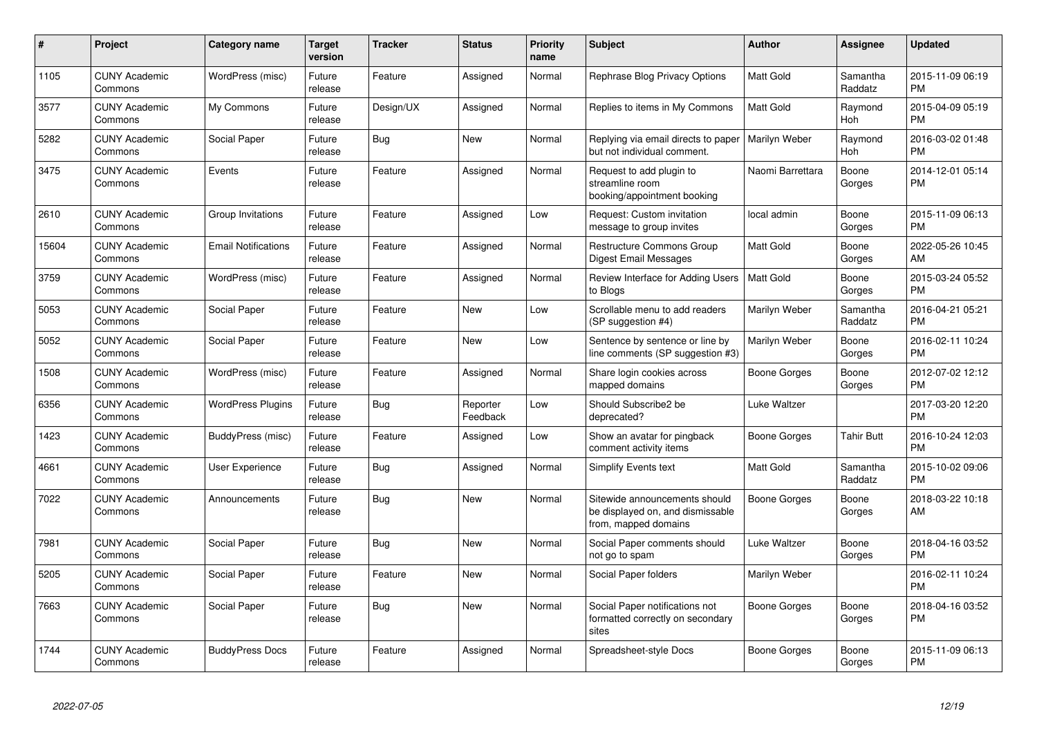| #     | <b>Project</b>                  | Category name              | <b>Target</b><br>version | <b>Tracker</b> | <b>Status</b>        | <b>Priority</b><br>name | <b>Subject</b>                                                                            | <b>Author</b>    | Assignee            | <b>Updated</b>                |
|-------|---------------------------------|----------------------------|--------------------------|----------------|----------------------|-------------------------|-------------------------------------------------------------------------------------------|------------------|---------------------|-------------------------------|
| 1105  | <b>CUNY Academic</b><br>Commons | WordPress (misc)           | Future<br>release        | Feature        | Assigned             | Normal                  | Rephrase Blog Privacy Options                                                             | <b>Matt Gold</b> | Samantha<br>Raddatz | 2015-11-09 06:19<br><b>PM</b> |
| 3577  | <b>CUNY Academic</b><br>Commons | My Commons                 | Future<br>release        | Design/UX      | Assigned             | Normal                  | Replies to items in My Commons                                                            | <b>Matt Gold</b> | Raymond<br>Hoh      | 2015-04-09 05:19<br><b>PM</b> |
| 5282  | <b>CUNY Academic</b><br>Commons | Social Paper               | Future<br>release        | Bug            | <b>New</b>           | Normal                  | Replying via email directs to paper<br>but not individual comment.                        | Marilyn Weber    | Raymond<br>Hoh      | 2016-03-02 01:48<br><b>PM</b> |
| 3475  | <b>CUNY Academic</b><br>Commons | Events                     | Future<br>release        | Feature        | Assigned             | Normal                  | Request to add plugin to<br>streamline room<br>booking/appointment booking                | Naomi Barrettara | Boone<br>Gorges     | 2014-12-01 05:14<br><b>PM</b> |
| 2610  | <b>CUNY Academic</b><br>Commons | Group Invitations          | Future<br>release        | Feature        | Assigned             | Low                     | Request: Custom invitation<br>message to group invites                                    | local admin      | Boone<br>Gorges     | 2015-11-09 06:13<br><b>PM</b> |
| 15604 | <b>CUNY Academic</b><br>Commons | <b>Email Notifications</b> | Future<br>release        | Feature        | Assigned             | Normal                  | Restructure Commons Group<br>Digest Email Messages                                        | <b>Matt Gold</b> | Boone<br>Gorges     | 2022-05-26 10:45<br>AM        |
| 3759  | <b>CUNY Academic</b><br>Commons | WordPress (misc)           | Future<br>release        | Feature        | Assigned             | Normal                  | Review Interface for Adding Users<br>to Blogs                                             | <b>Matt Gold</b> | Boone<br>Gorges     | 2015-03-24 05:52<br><b>PM</b> |
| 5053  | <b>CUNY Academic</b><br>Commons | Social Paper               | Future<br>release        | Feature        | New                  | Low                     | Scrollable menu to add readers<br>(SP suggestion #4)                                      | Marilyn Weber    | Samantha<br>Raddatz | 2016-04-21 05:21<br><b>PM</b> |
| 5052  | <b>CUNY Academic</b><br>Commons | Social Paper               | Future<br>release        | Feature        | New                  | Low                     | Sentence by sentence or line by<br>line comments (SP suggestion #3)                       | Marilyn Weber    | Boone<br>Gorges     | 2016-02-11 10:24<br><b>PM</b> |
| 1508  | <b>CUNY Academic</b><br>Commons | WordPress (misc)           | Future<br>release        | Feature        | Assigned             | Normal                  | Share login cookies across<br>mapped domains                                              | Boone Gorges     | Boone<br>Gorges     | 2012-07-02 12:12<br><b>PM</b> |
| 6356  | <b>CUNY Academic</b><br>Commons | <b>WordPress Plugins</b>   | Future<br>release        | Bug            | Reporter<br>Feedback | Low                     | Should Subscribe2 be<br>deprecated?                                                       | Luke Waltzer     |                     | 2017-03-20 12:20<br><b>PM</b> |
| 1423  | <b>CUNY Academic</b><br>Commons | BuddyPress (misc)          | Future<br>release        | Feature        | Assigned             | Low                     | Show an avatar for pingback<br>comment activity items                                     | Boone Gorges     | <b>Tahir Butt</b>   | 2016-10-24 12:03<br><b>PM</b> |
| 4661  | <b>CUNY Academic</b><br>Commons | User Experience            | Future<br>release        | Bug            | Assigned             | Normal                  | <b>Simplify Events text</b>                                                               | <b>Matt Gold</b> | Samantha<br>Raddatz | 2015-10-02 09:06<br><b>PM</b> |
| 7022  | <b>CUNY Academic</b><br>Commons | Announcements              | Future<br>release        | Bug            | New                  | Normal                  | Sitewide announcements should<br>be displayed on, and dismissable<br>from, mapped domains | Boone Gorges     | Boone<br>Gorges     | 2018-03-22 10:18<br>AM        |
| 7981  | <b>CUNY Academic</b><br>Commons | Social Paper               | Future<br>release        | Bug            | <b>New</b>           | Normal                  | Social Paper comments should<br>not go to spam                                            | Luke Waltzer     | Boone<br>Gorges     | 2018-04-16 03:52<br><b>PM</b> |
| 5205  | <b>CUNY Academic</b><br>Commons | Social Paper               | Future<br>release        | Feature        | <b>New</b>           | Normal                  | Social Paper folders                                                                      | Marilyn Weber    |                     | 2016-02-11 10:24<br><b>PM</b> |
| 7663  | <b>CUNY Academic</b><br>Commons | Social Paper               | Future<br>release        | Bug            | <b>New</b>           | Normal                  | Social Paper notifications not<br>formatted correctly on secondary<br>sites               | Boone Gorges     | Boone<br>Gorges     | 2018-04-16 03:52<br><b>PM</b> |
| 1744  | <b>CUNY Academic</b><br>Commons | <b>BuddyPress Docs</b>     | Future<br>release        | Feature        | Assigned             | Normal                  | Spreadsheet-style Docs                                                                    | Boone Gorges     | Boone<br>Gorges     | 2015-11-09 06:13<br><b>PM</b> |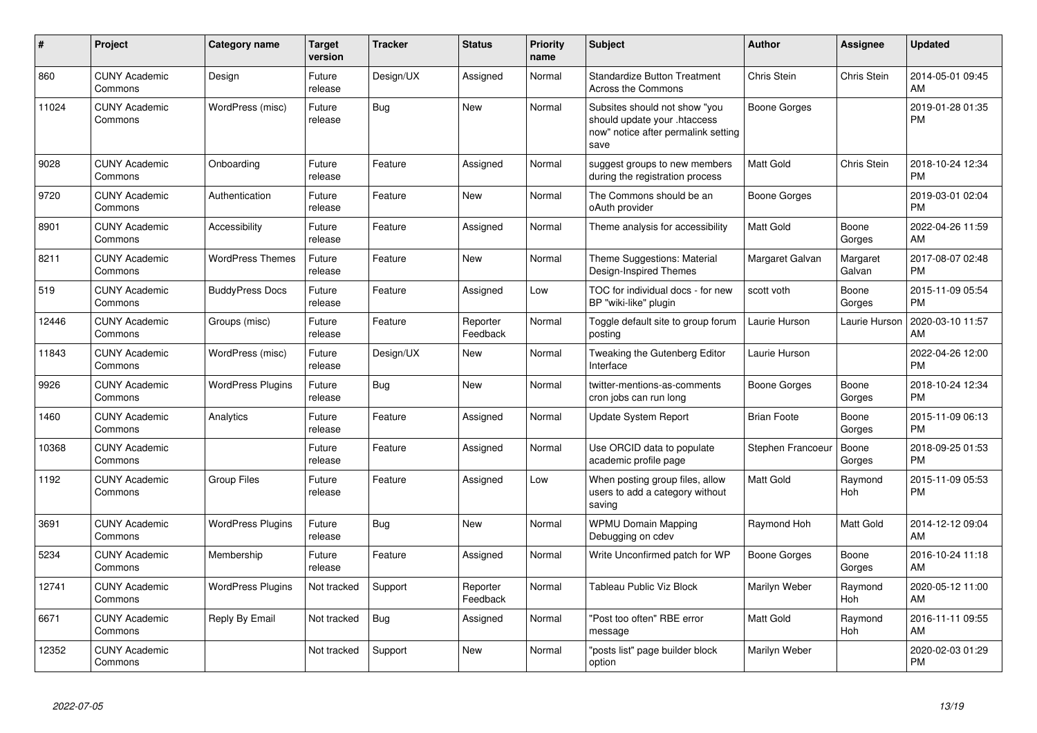| #     | <b>Project</b>                  | Category name            | <b>Target</b><br>version | <b>Tracker</b> | <b>Status</b>        | <b>Priority</b><br>name | <b>Subject</b>                                                                                               | <b>Author</b>       | Assignee           | <b>Updated</b>                |
|-------|---------------------------------|--------------------------|--------------------------|----------------|----------------------|-------------------------|--------------------------------------------------------------------------------------------------------------|---------------------|--------------------|-------------------------------|
| 860   | <b>CUNY Academic</b><br>Commons | Design                   | Future<br>release        | Design/UX      | Assigned             | Normal                  | <b>Standardize Button Treatment</b><br><b>Across the Commons</b>                                             | Chris Stein         | Chris Stein        | 2014-05-01 09:45<br>AM        |
| 11024 | <b>CUNY Academic</b><br>Commons | WordPress (misc)         | Future<br>release        | Bug            | <b>New</b>           | Normal                  | Subsites should not show "you<br>should update your .htaccess<br>now" notice after permalink setting<br>save | <b>Boone Gorges</b> |                    | 2019-01-28 01:35<br><b>PM</b> |
| 9028  | <b>CUNY Academic</b><br>Commons | Onboarding               | Future<br>release        | Feature        | Assigned             | Normal                  | suggest groups to new members<br>during the registration process                                             | <b>Matt Gold</b>    | Chris Stein        | 2018-10-24 12:34<br><b>PM</b> |
| 9720  | <b>CUNY Academic</b><br>Commons | Authentication           | Future<br>release        | Feature        | <b>New</b>           | Normal                  | The Commons should be an<br>oAuth provider                                                                   | <b>Boone Gorges</b> |                    | 2019-03-01 02:04<br><b>PM</b> |
| 8901  | <b>CUNY Academic</b><br>Commons | Accessibility            | Future<br>release        | Feature        | Assigned             | Normal                  | Theme analysis for accessibility                                                                             | <b>Matt Gold</b>    | Boone<br>Gorges    | 2022-04-26 11:59<br>AM        |
| 8211  | <b>CUNY Academic</b><br>Commons | <b>WordPress Themes</b>  | Future<br>release        | Feature        | <b>New</b>           | Normal                  | Theme Suggestions: Material<br>Design-Inspired Themes                                                        | Margaret Galvan     | Margaret<br>Galvan | 2017-08-07 02:48<br><b>PM</b> |
| 519   | <b>CUNY Academic</b><br>Commons | <b>BuddyPress Docs</b>   | Future<br>release        | Feature        | Assigned             | Low                     | TOC for individual docs - for new<br>BP "wiki-like" plugin                                                   | scott voth          | Boone<br>Gorges    | 2015-11-09 05:54<br><b>PM</b> |
| 12446 | <b>CUNY Academic</b><br>Commons | Groups (misc)            | Future<br>release        | Feature        | Reporter<br>Feedback | Normal                  | Toggle default site to group forum<br>posting                                                                | Laurie Hurson       | Laurie Hurson      | 2020-03-10 11:57<br>AM        |
| 11843 | <b>CUNY Academic</b><br>Commons | WordPress (misc)         | Future<br>release        | Design/UX      | <b>New</b>           | Normal                  | Tweaking the Gutenberg Editor<br>Interface                                                                   | Laurie Hurson       |                    | 2022-04-26 12:00<br><b>PM</b> |
| 9926  | <b>CUNY Academic</b><br>Commons | <b>WordPress Plugins</b> | Future<br>release        | Bug            | New                  | Normal                  | twitter-mentions-as-comments<br>cron jobs can run long                                                       | Boone Gorges        | Boone<br>Gorges    | 2018-10-24 12:34<br><b>PM</b> |
| 1460  | <b>CUNY Academic</b><br>Commons | Analytics                | Future<br>release        | Feature        | Assigned             | Normal                  | <b>Update System Report</b>                                                                                  | <b>Brian Foote</b>  | Boone<br>Gorges    | 2015-11-09 06:13<br><b>PM</b> |
| 10368 | <b>CUNY Academic</b><br>Commons |                          | Future<br>release        | Feature        | Assigned             | Normal                  | Use ORCID data to populate<br>academic profile page                                                          | Stephen Francoeu    | Boone<br>Gorges    | 2018-09-25 01:53<br><b>PM</b> |
| 1192  | <b>CUNY Academic</b><br>Commons | <b>Group Files</b>       | Future<br>release        | Feature        | Assigned             | Low                     | When posting group files, allow<br>users to add a category without<br>saving                                 | <b>Matt Gold</b>    | Raymond<br>Hoh     | 2015-11-09 05:53<br><b>PM</b> |
| 3691  | <b>CUNY Academic</b><br>Commons | <b>WordPress Plugins</b> | Future<br>release        | Bug            | <b>New</b>           | Normal                  | <b>WPMU Domain Mapping</b><br>Debugging on cdev                                                              | Raymond Hoh         | Matt Gold          | 2014-12-12 09:04<br>AM        |
| 5234  | <b>CUNY Academic</b><br>Commons | Membership               | Future<br>release        | Feature        | Assigned             | Normal                  | Write Unconfirmed patch for WP                                                                               | Boone Gorges        | Boone<br>Gorges    | 2016-10-24 11:18<br>AM        |
| 12741 | <b>CUNY Academic</b><br>Commons | <b>WordPress Plugins</b> | Not tracked              | Support        | Reporter<br>Feedback | Normal                  | Tableau Public Viz Block                                                                                     | Marilyn Weber       | Raymond<br>Hoh     | 2020-05-12 11:00<br>AM        |
| 6671  | <b>CUNY Academic</b><br>Commons | Reply By Email           | Not tracked              | <b>Bug</b>     | Assigned             | Normal                  | "Post too often" RBE error<br>message                                                                        | <b>Matt Gold</b>    | Raymond<br>Hoh     | 2016-11-11 09:55<br>AM        |
| 12352 | <b>CUNY Academic</b><br>Commons |                          | Not tracked              | Support        | <b>New</b>           | Normal                  | "posts list" page builder block<br>option                                                                    | Marilyn Weber       |                    | 2020-02-03 01:29<br><b>PM</b> |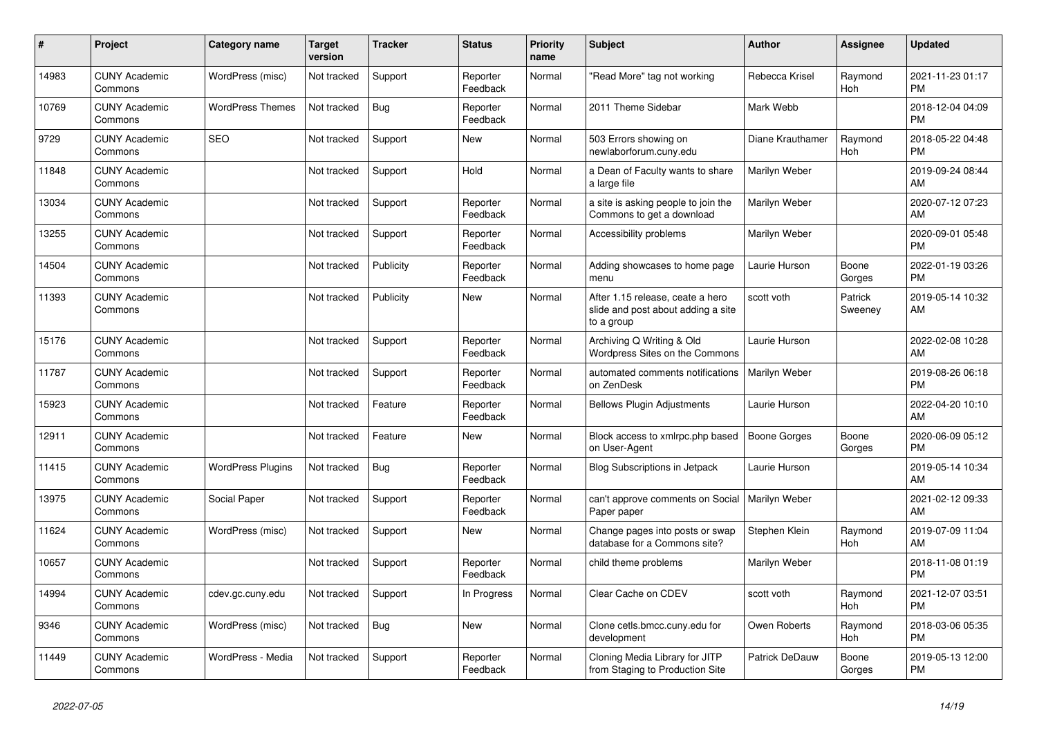| #     | <b>Project</b>                  | Category name            | <b>Target</b><br>version | <b>Tracker</b> | <b>Status</b>        | <b>Priority</b><br>name | <b>Subject</b>                                                                       | <b>Author</b>        | Assignee              | <b>Updated</b>                |
|-------|---------------------------------|--------------------------|--------------------------|----------------|----------------------|-------------------------|--------------------------------------------------------------------------------------|----------------------|-----------------------|-------------------------------|
| 14983 | <b>CUNY Academic</b><br>Commons | WordPress (misc)         | Not tracked              | Support        | Reporter<br>Feedback | Normal                  | "Read More" tag not working                                                          | Rebecca Krisel       | Raymond<br><b>Hoh</b> | 2021-11-23 01:17<br><b>PM</b> |
| 10769 | <b>CUNY Academic</b><br>Commons | <b>WordPress Themes</b>  | Not tracked              | Bug            | Reporter<br>Feedback | Normal                  | 2011 Theme Sidebar                                                                   | Mark Webb            |                       | 2018-12-04 04:09<br><b>PM</b> |
| 9729  | <b>CUNY Academic</b><br>Commons | <b>SEO</b>               | Not tracked              | Support        | New                  | Normal                  | 503 Errors showing on<br>newlaborforum.cuny.edu                                      | Diane Krauthamer     | Raymond<br>Hoh        | 2018-05-22 04:48<br><b>PM</b> |
| 11848 | <b>CUNY Academic</b><br>Commons |                          | Not tracked              | Support        | Hold                 | Normal                  | a Dean of Faculty wants to share<br>a large file                                     | Marilyn Weber        |                       | 2019-09-24 08:44<br>AM        |
| 13034 | <b>CUNY Academic</b><br>Commons |                          | Not tracked              | Support        | Reporter<br>Feedback | Normal                  | a site is asking people to join the<br>Commons to get a download                     | Marilyn Weber        |                       | 2020-07-12 07:23<br>AM        |
| 13255 | <b>CUNY Academic</b><br>Commons |                          | Not tracked              | Support        | Reporter<br>Feedback | Normal                  | Accessibility problems                                                               | Marilyn Weber        |                       | 2020-09-01 05:48<br><b>PM</b> |
| 14504 | <b>CUNY Academic</b><br>Commons |                          | Not tracked              | Publicity      | Reporter<br>Feedback | Normal                  | Adding showcases to home page<br>menu                                                | Laurie Hurson        | Boone<br>Gorges       | 2022-01-19 03:26<br><b>PM</b> |
| 11393 | <b>CUNY Academic</b><br>Commons |                          | Not tracked              | Publicity      | <b>New</b>           | Normal                  | After 1.15 release, ceate a hero<br>slide and post about adding a site<br>to a group | scott voth           | Patrick<br>Sweeney    | 2019-05-14 10:32<br>AM        |
| 15176 | <b>CUNY Academic</b><br>Commons |                          | Not tracked              | Support        | Reporter<br>Feedback | Normal                  | Archiving Q Writing & Old<br>Wordpress Sites on the Commons                          | Laurie Hurson        |                       | 2022-02-08 10:28<br>AM        |
| 11787 | <b>CUNY Academic</b><br>Commons |                          | Not tracked              | Support        | Reporter<br>Feedback | Normal                  | automated comments notifications<br>on ZenDesk                                       | <b>Marilyn Weber</b> |                       | 2019-08-26 06:18<br><b>PM</b> |
| 15923 | <b>CUNY Academic</b><br>Commons |                          | Not tracked              | Feature        | Reporter<br>Feedback | Normal                  | <b>Bellows Plugin Adjustments</b>                                                    | Laurie Hurson        |                       | 2022-04-20 10:10<br>AM        |
| 12911 | <b>CUNY Academic</b><br>Commons |                          | Not tracked              | Feature        | New                  | Normal                  | Block access to xmlrpc.php based<br>on User-Agent                                    | Boone Gorges         | Boone<br>Gorges       | 2020-06-09 05:12<br><b>PM</b> |
| 11415 | <b>CUNY Academic</b><br>Commons | <b>WordPress Plugins</b> | Not tracked              | Bug            | Reporter<br>Feedback | Normal                  | <b>Blog Subscriptions in Jetpack</b>                                                 | Laurie Hurson        |                       | 2019-05-14 10:34<br>AM        |
| 13975 | <b>CUNY Academic</b><br>Commons | Social Paper             | Not tracked              | Support        | Reporter<br>Feedback | Normal                  | can't approve comments on Social<br>Paper paper                                      | Marilyn Weber        |                       | 2021-02-12 09:33<br>AM        |
| 11624 | <b>CUNY Academic</b><br>Commons | WordPress (misc)         | Not tracked              | Support        | New                  | Normal                  | Change pages into posts or swap<br>database for a Commons site?                      | Stephen Klein        | Raymond<br>Hoh        | 2019-07-09 11:04<br>AM        |
| 10657 | <b>CUNY Academic</b><br>Commons |                          | Not tracked              | Support        | Reporter<br>Feedback | Normal                  | child theme problems                                                                 | Marilyn Weber        |                       | 2018-11-08 01:19<br><b>PM</b> |
| 14994 | <b>CUNY Academic</b><br>Commons | cdev.gc.cuny.edu         | Not tracked              | Support        | In Progress          | Normal                  | Clear Cache on CDEV                                                                  | scott voth           | Raymond<br>Hoh        | 2021-12-07 03:51<br><b>PM</b> |
| 9346  | <b>CUNY Academic</b><br>Commons | WordPress (misc)         | Not tracked              | Bug            | New                  | Normal                  | Clone cetls.bmcc.cuny.edu for<br>development                                         | Owen Roberts         | Raymond<br>Hoh        | 2018-03-06 05:35<br><b>PM</b> |
| 11449 | <b>CUNY Academic</b><br>Commons | WordPress - Media        | Not tracked              | Support        | Reporter<br>Feedback | Normal                  | Cloning Media Library for JITP<br>from Staging to Production Site                    | Patrick DeDauw       | Boone<br>Gorges       | 2019-05-13 12:00<br><b>PM</b> |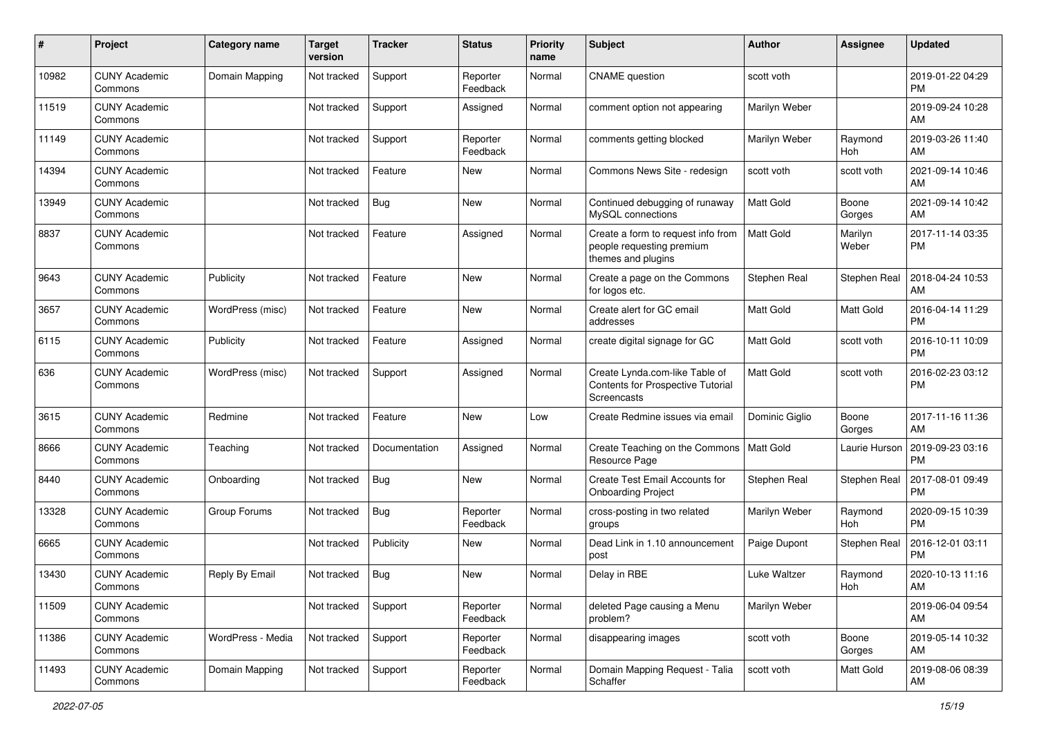| #     | Project                         | <b>Category name</b> | <b>Target</b><br>version | Tracker       | <b>Status</b>        | Priority<br>name | <b>Subject</b>                                                                            | <b>Author</b>    | Assignee         | <b>Updated</b>                |
|-------|---------------------------------|----------------------|--------------------------|---------------|----------------------|------------------|-------------------------------------------------------------------------------------------|------------------|------------------|-------------------------------|
| 10982 | <b>CUNY Academic</b><br>Commons | Domain Mapping       | Not tracked              | Support       | Reporter<br>Feedback | Normal           | <b>CNAME</b> question                                                                     | scott voth       |                  | 2019-01-22 04:29<br><b>PM</b> |
| 11519 | <b>CUNY Academic</b><br>Commons |                      | Not tracked              | Support       | Assigned             | Normal           | comment option not appearing                                                              | Marilyn Weber    |                  | 2019-09-24 10:28<br>AM        |
| 11149 | <b>CUNY Academic</b><br>Commons |                      | Not tracked              | Support       | Reporter<br>Feedback | Normal           | comments getting blocked                                                                  | Marilyn Weber    | Raymond<br>Hoh   | 2019-03-26 11:40<br>AM        |
| 14394 | <b>CUNY Academic</b><br>Commons |                      | Not tracked              | Feature       | New                  | Normal           | Commons News Site - redesign                                                              | scott voth       | scott voth       | 2021-09-14 10:46<br>AM        |
| 13949 | <b>CUNY Academic</b><br>Commons |                      | Not tracked              | Bug           | <b>New</b>           | Normal           | Continued debugging of runaway<br>MySQL connections                                       | <b>Matt Gold</b> | Boone<br>Gorges  | 2021-09-14 10:42<br>AM        |
| 8837  | <b>CUNY Academic</b><br>Commons |                      | Not tracked              | Feature       | Assigned             | Normal           | Create a form to request info from<br>people requesting premium<br>themes and plugins     | Matt Gold        | Marilyn<br>Weber | 2017-11-14 03:35<br><b>PM</b> |
| 9643  | <b>CUNY Academic</b><br>Commons | Publicity            | Not tracked              | Feature       | <b>New</b>           | Normal           | Create a page on the Commons<br>for logos etc.                                            | Stephen Real     | Stephen Real     | 2018-04-24 10:53<br>AM        |
| 3657  | <b>CUNY Academic</b><br>Commons | WordPress (misc)     | Not tracked              | Feature       | <b>New</b>           | Normal           | Create alert for GC email<br>addresses                                                    | Matt Gold        | Matt Gold        | 2016-04-14 11:29<br><b>PM</b> |
| 6115  | <b>CUNY Academic</b><br>Commons | Publicity            | Not tracked              | Feature       | Assigned             | Normal           | create digital signage for GC                                                             | <b>Matt Gold</b> | scott voth       | 2016-10-11 10:09<br><b>PM</b> |
| 636   | <b>CUNY Academic</b><br>Commons | WordPress (misc)     | Not tracked              | Support       | Assigned             | Normal           | Create Lynda.com-like Table of<br><b>Contents for Prospective Tutorial</b><br>Screencasts | Matt Gold        | scott voth       | 2016-02-23 03:12<br><b>PM</b> |
| 3615  | <b>CUNY Academic</b><br>Commons | Redmine              | Not tracked              | Feature       | <b>New</b>           | Low              | Create Redmine issues via email                                                           | Dominic Giglio   | Boone<br>Gorges  | 2017-11-16 11:36<br>AM        |
| 8666  | <b>CUNY Academic</b><br>Commons | Teaching             | Not tracked              | Documentation | Assigned             | Normal           | Create Teaching on the Commons<br>Resource Page                                           | Matt Gold        | Laurie Hurson    | 2019-09-23 03:16<br><b>PM</b> |
| 8440  | <b>CUNY Academic</b><br>Commons | Onboarding           | Not tracked              | Bug           | <b>New</b>           | Normal           | Create Test Email Accounts for<br><b>Onboarding Project</b>                               | Stephen Real     | Stephen Real     | 2017-08-01 09:49<br><b>PM</b> |
| 13328 | <b>CUNY Academic</b><br>Commons | Group Forums         | Not tracked              | Bug           | Reporter<br>Feedback | Normal           | cross-posting in two related<br>groups                                                    | Marilyn Weber    | Raymond<br>Hoh   | 2020-09-15 10:39<br><b>PM</b> |
| 6665  | <b>CUNY Academic</b><br>Commons |                      | Not tracked              | Publicity     | New                  | Normal           | Dead Link in 1.10 announcement<br>post                                                    | Paige Dupont     | Stephen Real     | 2016-12-01 03:11<br><b>PM</b> |
| 13430 | <b>CUNY Academic</b><br>Commons | Reply By Email       | Not tracked              | Bug           | <b>New</b>           | Normal           | Delay in RBE                                                                              | Luke Waltzer     | Raymond<br>Hoh   | 2020-10-13 11:16<br>AM        |
| 11509 | <b>CUNY Academic</b><br>Commons |                      | Not tracked              | Support       | Reporter<br>Feedback | Normal           | deleted Page causing a Menu<br>problem?                                                   | Marilyn Weber    |                  | 2019-06-04 09:54<br>AM        |
| 11386 | <b>CUNY Academic</b><br>Commons | WordPress - Media    | Not tracked              | Support       | Reporter<br>Feedback | Normal           | disappearing images                                                                       | scott voth       | Boone<br>Gorges  | 2019-05-14 10:32<br>AM        |
| 11493 | <b>CUNY Academic</b><br>Commons | Domain Mapping       | Not tracked              | Support       | Reporter<br>Feedback | Normal           | Domain Mapping Request - Talia<br>Schaffer                                                | scott voth       | Matt Gold        | 2019-08-06 08:39<br>AM        |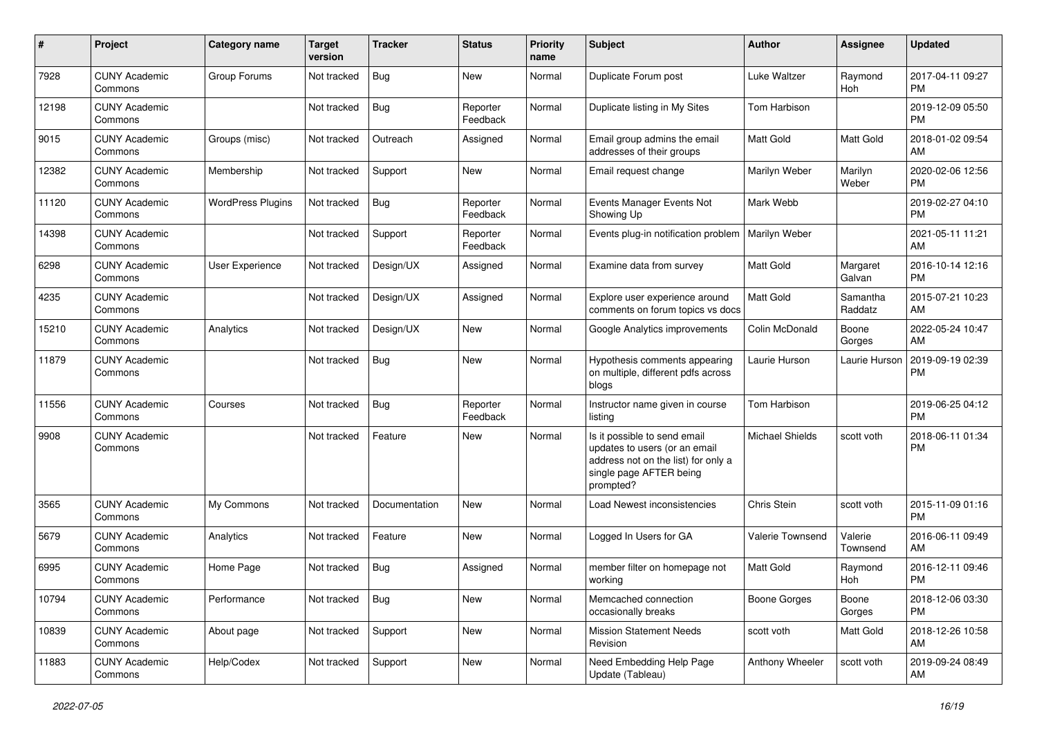| #     | Project                         | <b>Category name</b>     | <b>Target</b><br>version | <b>Tracker</b> | <b>Status</b>        | <b>Priority</b><br>name | <b>Subject</b>                                                                                                                               | Author                 | Assignee            | <b>Updated</b>                |
|-------|---------------------------------|--------------------------|--------------------------|----------------|----------------------|-------------------------|----------------------------------------------------------------------------------------------------------------------------------------------|------------------------|---------------------|-------------------------------|
| 7928  | <b>CUNY Academic</b><br>Commons | Group Forums             | Not tracked              | <b>Bug</b>     | <b>New</b>           | Normal                  | Duplicate Forum post                                                                                                                         | Luke Waltzer           | Raymond<br>Hoh      | 2017-04-11 09:27<br><b>PM</b> |
| 12198 | <b>CUNY Academic</b><br>Commons |                          | Not tracked              | <b>Bug</b>     | Reporter<br>Feedback | Normal                  | Duplicate listing in My Sites                                                                                                                | Tom Harbison           |                     | 2019-12-09 05:50<br><b>PM</b> |
| 9015  | <b>CUNY Academic</b><br>Commons | Groups (misc)            | Not tracked              | Outreach       | Assigned             | Normal                  | Email group admins the email<br>addresses of their groups                                                                                    | Matt Gold              | Matt Gold           | 2018-01-02 09:54<br>AM        |
| 12382 | <b>CUNY Academic</b><br>Commons | Membership               | Not tracked              | Support        | <b>New</b>           | Normal                  | Email request change                                                                                                                         | Marilyn Weber          | Marilyn<br>Weber    | 2020-02-06 12:56<br><b>PM</b> |
| 11120 | <b>CUNY Academic</b><br>Commons | <b>WordPress Plugins</b> | Not tracked              | Bug            | Reporter<br>Feedback | Normal                  | Events Manager Events Not<br>Showing Up                                                                                                      | Mark Webb              |                     | 2019-02-27 04:10<br><b>PM</b> |
| 14398 | <b>CUNY Academic</b><br>Commons |                          | Not tracked              | Support        | Reporter<br>Feedback | Normal                  | Events plug-in notification problem                                                                                                          | Marilyn Weber          |                     | 2021-05-11 11:21<br>AM        |
| 6298  | <b>CUNY Academic</b><br>Commons | User Experience          | Not tracked              | Design/UX      | Assigned             | Normal                  | Examine data from survey                                                                                                                     | <b>Matt Gold</b>       | Margaret<br>Galvan  | 2016-10-14 12:16<br><b>PM</b> |
| 4235  | <b>CUNY Academic</b><br>Commons |                          | Not tracked              | Design/UX      | Assigned             | Normal                  | Explore user experience around<br>comments on forum topics vs docs                                                                           | Matt Gold              | Samantha<br>Raddatz | 2015-07-21 10:23<br>AM        |
| 15210 | <b>CUNY Academic</b><br>Commons | Analytics                | Not tracked              | Design/UX      | New                  | Normal                  | Google Analytics improvements                                                                                                                | Colin McDonald         | Boone<br>Gorges     | 2022-05-24 10:47<br>AM        |
| 11879 | <b>CUNY Academic</b><br>Commons |                          | Not tracked              | <b>Bug</b>     | <b>New</b>           | Normal                  | Hypothesis comments appearing<br>on multiple, different pdfs across<br>blogs                                                                 | Laurie Hurson          | Laurie Hurson       | 2019-09-19 02:39<br><b>PM</b> |
| 11556 | <b>CUNY Academic</b><br>Commons | Courses                  | Not tracked              | <b>Bug</b>     | Reporter<br>Feedback | Normal                  | Instructor name given in course<br>listing                                                                                                   | Tom Harbison           |                     | 2019-06-25 04:12<br><b>PM</b> |
| 9908  | <b>CUNY Academic</b><br>Commons |                          | Not tracked              | Feature        | <b>New</b>           | Normal                  | Is it possible to send email<br>updates to users (or an email<br>address not on the list) for only a<br>single page AFTER being<br>prompted? | <b>Michael Shields</b> | scott voth          | 2018-06-11 01:34<br><b>PM</b> |
| 3565  | <b>CUNY Academic</b><br>Commons | My Commons               | Not tracked              | Documentation  | <b>New</b>           | Normal                  | Load Newest inconsistencies                                                                                                                  | Chris Stein            | scott voth          | 2015-11-09 01:16<br><b>PM</b> |
| 5679  | <b>CUNY Academic</b><br>Commons | Analytics                | Not tracked              | Feature        | New                  | Normal                  | Logged In Users for GA                                                                                                                       | Valerie Townsend       | Valerie<br>Townsend | 2016-06-11 09:49<br>AM        |
| 6995  | <b>CUNY Academic</b><br>Commons | Home Page                | Not tracked              | <b>Bug</b>     | Assigned             | Normal                  | member filter on homepage not<br>working                                                                                                     | <b>Matt Gold</b>       | Raymond<br>Hoh      | 2016-12-11 09:46<br><b>PM</b> |
| 10794 | <b>CUNY Academic</b><br>Commons | Performance              | Not tracked              | Bug            | New                  | Normal                  | Memcached connection<br>occasionally breaks                                                                                                  | <b>Boone Gorges</b>    | Boone<br>Gorges     | 2018-12-06 03:30<br><b>PM</b> |
| 10839 | <b>CUNY Academic</b><br>Commons | About page               | Not tracked              | Support        | New                  | Normal                  | <b>Mission Statement Needs</b><br>Revision                                                                                                   | scott voth             | Matt Gold           | 2018-12-26 10:58<br>AM        |
| 11883 | <b>CUNY Academic</b><br>Commons | Help/Codex               | Not tracked              | Support        | New                  | Normal                  | Need Embedding Help Page<br>Update (Tableau)                                                                                                 | Anthony Wheeler        | scott voth          | 2019-09-24 08:49<br>AM        |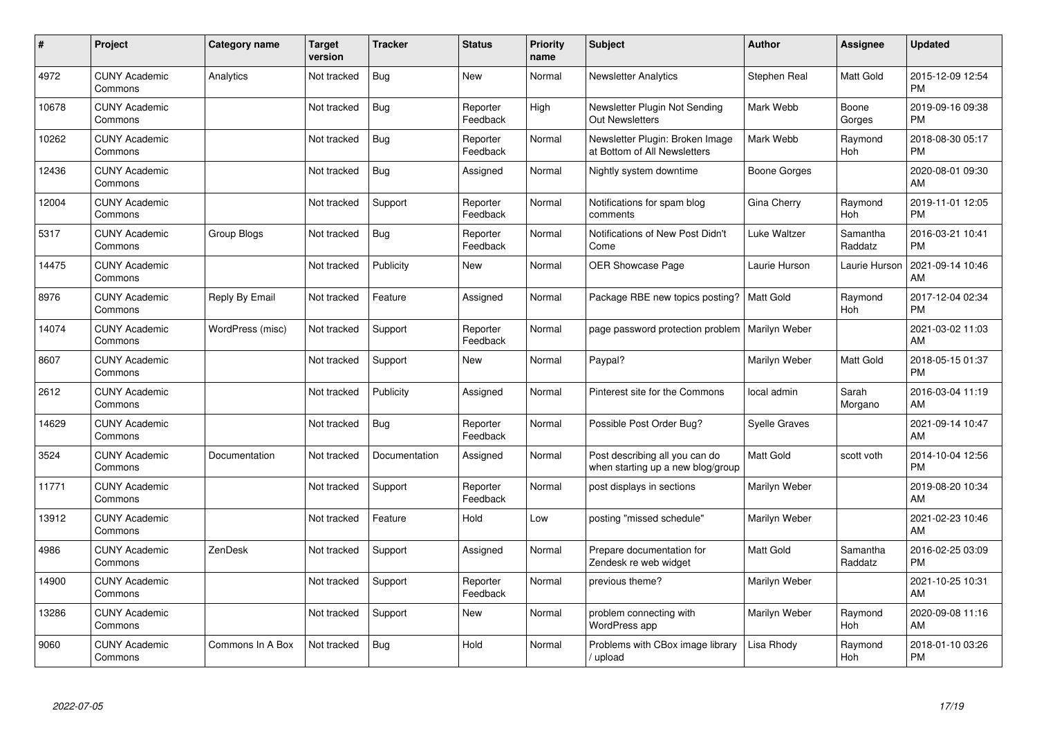| #     | Project                         | Category name    | <b>Target</b><br>version | <b>Tracker</b> | <b>Status</b>        | Priority<br>name | <b>Subject</b>                                                      | <b>Author</b>        | <b>Assignee</b>     | <b>Updated</b>                |
|-------|---------------------------------|------------------|--------------------------|----------------|----------------------|------------------|---------------------------------------------------------------------|----------------------|---------------------|-------------------------------|
| 4972  | <b>CUNY Academic</b><br>Commons | Analytics        | Not tracked              | Bug            | <b>New</b>           | Normal           | <b>Newsletter Analytics</b>                                         | Stephen Real         | Matt Gold           | 2015-12-09 12:54<br><b>PM</b> |
| 10678 | <b>CUNY Academic</b><br>Commons |                  | Not tracked              | Bug            | Reporter<br>Feedback | High             | Newsletter Plugin Not Sending<br><b>Out Newsletters</b>             | Mark Webb            | Boone<br>Gorges     | 2019-09-16 09:38<br><b>PM</b> |
| 10262 | <b>CUNY Academic</b><br>Commons |                  | Not tracked              | <b>Bug</b>     | Reporter<br>Feedback | Normal           | Newsletter Plugin: Broken Image<br>at Bottom of All Newsletters     | Mark Webb            | Raymond<br>Hoh      | 2018-08-30 05:17<br><b>PM</b> |
| 12436 | <b>CUNY Academic</b><br>Commons |                  | Not tracked              | <b>Bug</b>     | Assigned             | Normal           | Nightly system downtime                                             | Boone Gorges         |                     | 2020-08-01 09:30<br>AM        |
| 12004 | <b>CUNY Academic</b><br>Commons |                  | Not tracked              | Support        | Reporter<br>Feedback | Normal           | Notifications for spam blog<br>comments                             | Gina Cherry          | Raymond<br>Hoh      | 2019-11-01 12:05<br><b>PM</b> |
| 5317  | <b>CUNY Academic</b><br>Commons | Group Blogs      | Not tracked              | Bug            | Reporter<br>Feedback | Normal           | Notifications of New Post Didn't<br>Come                            | Luke Waltzer         | Samantha<br>Raddatz | 2016-03-21 10:41<br><b>PM</b> |
| 14475 | <b>CUNY Academic</b><br>Commons |                  | Not tracked              | Publicity      | <b>New</b>           | Normal           | <b>OER Showcase Page</b>                                            | Laurie Hurson        | Laurie Hurson       | 2021-09-14 10:46<br>AM        |
| 8976  | <b>CUNY Academic</b><br>Commons | Reply By Email   | Not tracked              | Feature        | Assigned             | Normal           | Package RBE new topics posting?   Matt Gold                         |                      | Raymond<br>Hoh      | 2017-12-04 02:34<br><b>PM</b> |
| 14074 | <b>CUNY Academic</b><br>Commons | WordPress (misc) | Not tracked              | Support        | Reporter<br>Feedback | Normal           | page password protection problem   Marilyn Weber                    |                      |                     | 2021-03-02 11:03<br>AM        |
| 8607  | <b>CUNY Academic</b><br>Commons |                  | Not tracked              | Support        | <b>New</b>           | Normal           | Paypal?                                                             | Marilyn Weber        | Matt Gold           | 2018-05-15 01:37<br><b>PM</b> |
| 2612  | <b>CUNY Academic</b><br>Commons |                  | Not tracked              | Publicity      | Assigned             | Normal           | Pinterest site for the Commons                                      | local admin          | Sarah<br>Morgano    | 2016-03-04 11:19<br>AM        |
| 14629 | <b>CUNY Academic</b><br>Commons |                  | Not tracked              | Bug            | Reporter<br>Feedback | Normal           | Possible Post Order Bug?                                            | <b>Syelle Graves</b> |                     | 2021-09-14 10:47<br>AM        |
| 3524  | <b>CUNY Academic</b><br>Commons | Documentation    | Not tracked              | Documentation  | Assigned             | Normal           | Post describing all you can do<br>when starting up a new blog/group | <b>Matt Gold</b>     | scott voth          | 2014-10-04 12:56<br><b>PM</b> |
| 11771 | <b>CUNY Academic</b><br>Commons |                  | Not tracked              | Support        | Reporter<br>Feedback | Normal           | post displays in sections                                           | Marilyn Weber        |                     | 2019-08-20 10:34<br>AM        |
| 13912 | <b>CUNY Academic</b><br>Commons |                  | Not tracked              | Feature        | Hold                 | Low              | posting "missed schedule"                                           | Marilyn Weber        |                     | 2021-02-23 10:46<br>AM        |
| 4986  | <b>CUNY Academic</b><br>Commons | ZenDesk          | Not tracked              | Support        | Assigned             | Normal           | Prepare documentation for<br>Zendesk re web widget                  | <b>Matt Gold</b>     | Samantha<br>Raddatz | 2016-02-25 03:09<br><b>PM</b> |
| 14900 | <b>CUNY Academic</b><br>Commons |                  | Not tracked              | Support        | Reporter<br>Feedback | Normal           | previous theme?                                                     | Marilyn Weber        |                     | 2021-10-25 10:31<br>AM        |
| 13286 | <b>CUNY Academic</b><br>Commons |                  | Not tracked              | Support        | <b>New</b>           | Normal           | problem connecting with<br>WordPress app                            | Marilyn Weber        | Raymond<br>Hoh      | 2020-09-08 11:16<br>AM        |
| 9060  | <b>CUNY Academic</b><br>Commons | Commons In A Box | Not tracked              | <b>Bug</b>     | Hold                 | Normal           | Problems with CBox image library<br>/ upload                        | Lisa Rhody           | Raymond<br>Hoh      | 2018-01-10 03:26<br><b>PM</b> |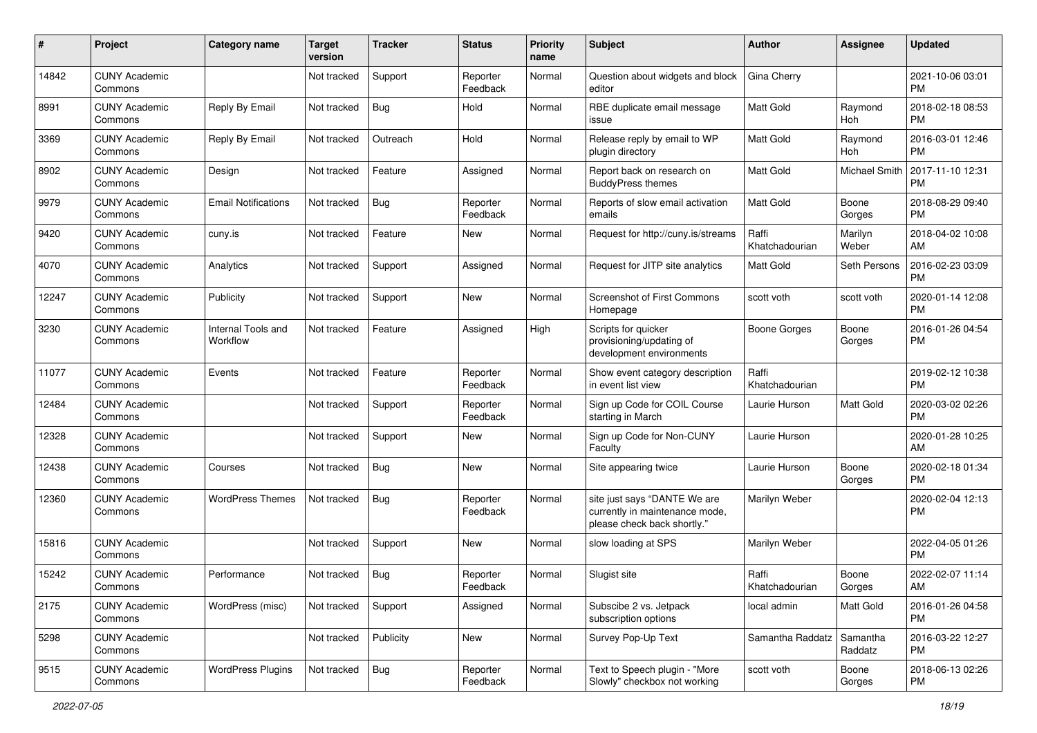| #     | Project                         | <b>Category name</b>           | <b>Target</b><br>version | <b>Tracker</b> | <b>Status</b>        | Priority<br>name | <b>Subject</b>                                                                                | Author                  | <b>Assignee</b>      | <b>Updated</b>                |
|-------|---------------------------------|--------------------------------|--------------------------|----------------|----------------------|------------------|-----------------------------------------------------------------------------------------------|-------------------------|----------------------|-------------------------------|
| 14842 | <b>CUNY Academic</b><br>Commons |                                | Not tracked              | Support        | Reporter<br>Feedback | Normal           | Question about widgets and block<br>editor                                                    | Gina Cherry             |                      | 2021-10-06 03:01<br><b>PM</b> |
| 8991  | <b>CUNY Academic</b><br>Commons | Reply By Email                 | Not tracked              | Bug            | Hold                 | Normal           | RBE duplicate email message<br>issue                                                          | <b>Matt Gold</b>        | Raymond<br>Hoh       | 2018-02-18 08:53<br><b>PM</b> |
| 3369  | <b>CUNY Academic</b><br>Commons | Reply By Email                 | Not tracked              | Outreach       | Hold                 | Normal           | Release reply by email to WP<br>plugin directory                                              | Matt Gold               | Raymond<br>Hoh       | 2016-03-01 12:46<br><b>PM</b> |
| 8902  | <b>CUNY Academic</b><br>Commons | Design                         | Not tracked              | Feature        | Assigned             | Normal           | Report back on research on<br><b>BuddyPress themes</b>                                        | <b>Matt Gold</b>        | <b>Michael Smith</b> | 2017-11-10 12:31<br><b>PM</b> |
| 9979  | <b>CUNY Academic</b><br>Commons | <b>Email Notifications</b>     | Not tracked              | Bug            | Reporter<br>Feedback | Normal           | Reports of slow email activation<br>emails                                                    | <b>Matt Gold</b>        | Boone<br>Gorges      | 2018-08-29 09:40<br><b>PM</b> |
| 9420  | <b>CUNY Academic</b><br>Commons | cuny.is                        | Not tracked              | Feature        | New                  | Normal           | Request for http://cuny.is/streams                                                            | Raffi<br>Khatchadourian | Marilyn<br>Weber     | 2018-04-02 10:08<br>AM        |
| 4070  | <b>CUNY Academic</b><br>Commons | Analytics                      | Not tracked              | Support        | Assigned             | Normal           | Request for JITP site analytics                                                               | Matt Gold               | Seth Persons         | 2016-02-23 03:09<br><b>PM</b> |
| 12247 | <b>CUNY Academic</b><br>Commons | Publicity                      | Not tracked              | Support        | <b>New</b>           | Normal           | <b>Screenshot of First Commons</b><br>Homepage                                                | scott voth              | scott voth           | 2020-01-14 12:08<br><b>PM</b> |
| 3230  | <b>CUNY Academic</b><br>Commons | Internal Tools and<br>Workflow | Not tracked              | Feature        | Assigned             | High             | Scripts for quicker<br>provisioning/updating of<br>development environments                   | <b>Boone Gorges</b>     | Boone<br>Gorges      | 2016-01-26 04:54<br><b>PM</b> |
| 11077 | <b>CUNY Academic</b><br>Commons | Events                         | Not tracked              | Feature        | Reporter<br>Feedback | Normal           | Show event category description<br>in event list view                                         | Raffi<br>Khatchadourian |                      | 2019-02-12 10:38<br><b>PM</b> |
| 12484 | <b>CUNY Academic</b><br>Commons |                                | Not tracked              | Support        | Reporter<br>Feedback | Normal           | Sign up Code for COIL Course<br>starting in March                                             | Laurie Hurson           | Matt Gold            | 2020-03-02 02:26<br><b>PM</b> |
| 12328 | <b>CUNY Academic</b><br>Commons |                                | Not tracked              | Support        | New                  | Normal           | Sign up Code for Non-CUNY<br>Faculty                                                          | Laurie Hurson           |                      | 2020-01-28 10:25<br>AM        |
| 12438 | <b>CUNY Academic</b><br>Commons | Courses                        | Not tracked              | <b>Bug</b>     | <b>New</b>           | Normal           | Site appearing twice                                                                          | Laurie Hurson           | Boone<br>Gorges      | 2020-02-18 01:34<br><b>PM</b> |
| 12360 | <b>CUNY Academic</b><br>Commons | <b>WordPress Themes</b>        | Not tracked              | Bug            | Reporter<br>Feedback | Normal           | site just says "DANTE We are<br>currently in maintenance mode,<br>please check back shortly." | Marilyn Weber           |                      | 2020-02-04 12:13<br><b>PM</b> |
| 15816 | <b>CUNY Academic</b><br>Commons |                                | Not tracked              | Support        | New                  | Normal           | slow loading at SPS                                                                           | Marilyn Weber           |                      | 2022-04-05 01:26<br><b>PM</b> |
| 15242 | <b>CUNY Academic</b><br>Commons | Performance                    | Not tracked              | Bug            | Reporter<br>Feedback | Normal           | Slugist site                                                                                  | Raffi<br>Khatchadourian | Boone<br>Gorges      | 2022-02-07 11:14<br>AM        |
| 2175  | <b>CUNY Academic</b><br>Commons | WordPress (misc)               | Not tracked              | Support        | Assigned             | Normal           | Subscibe 2 vs. Jetpack<br>subscription options                                                | local admin             | Matt Gold            | 2016-01-26 04:58<br><b>PM</b> |
| 5298  | <b>CUNY Academic</b><br>Commons |                                | Not tracked              | Publicity      | New                  | Normal           | Survey Pop-Up Text                                                                            | Samantha Raddatz        | Samantha<br>Raddatz  | 2016-03-22 12:27<br><b>PM</b> |
| 9515  | <b>CUNY Academic</b><br>Commons | <b>WordPress Plugins</b>       | Not tracked              | Bug            | Reporter<br>Feedback | Normal           | Text to Speech plugin - "More<br>Slowly" checkbox not working                                 | scott voth              | Boone<br>Gorges      | 2018-06-13 02:26<br><b>PM</b> |